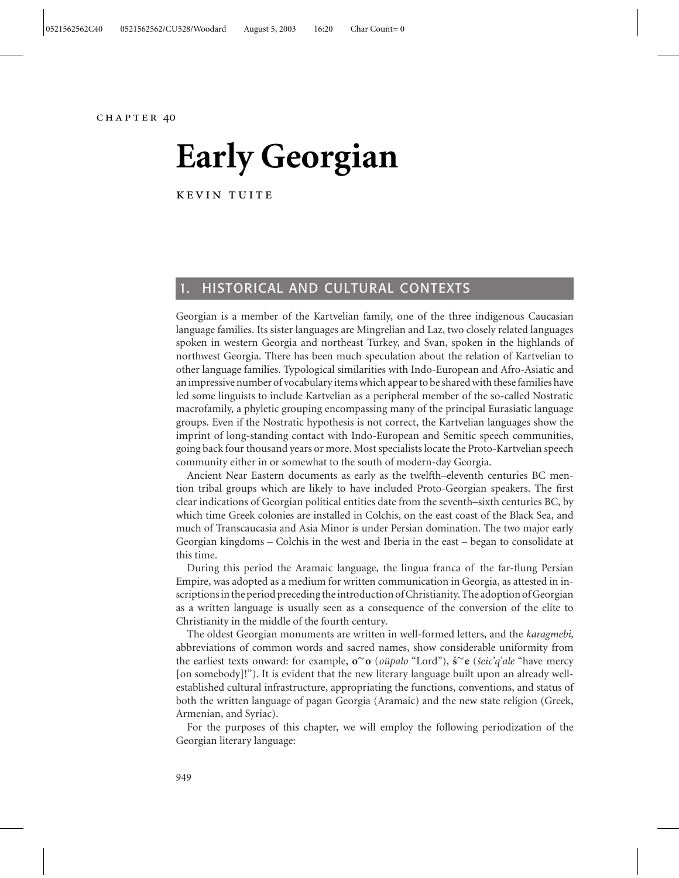#### CHAPTER 40

# **Early Georgian**

kevin tuite

# HISTORICAL AND CULTURAL CONTEXTS

Georgian is a member of the Kartvelian family, one of the three indigenous Caucasian language families. Its sister languages are Mingrelian and Laz, two closely related languages spoken in western Georgia and northeast Turkey, and Svan, spoken in the highlands of northwest Georgia. There has been much speculation about the relation of Kartvelian to other language families. Typological similarities with Indo-European and Afro-Asiatic and an impressive number of vocabulary items which appear to be shared with these families have led some linguists to include Kartvelian as a peripheral member of the so-called Nostratic macrofamily, a phyletic grouping encompassing many of the principal Eurasiatic language groups. Even if the Nostratic hypothesis is not correct, the Kartvelian languages show the imprint of long-standing contact with Indo-European and Semitic speech communities, going back four thousand years or more. Most specialists locate the Proto-Kartvelian speech community either in or somewhat to the south of modern-day Georgia.

Ancient Near Eastern documents as early as the twelfth–eleventh centuries BC mention tribal groups which are likely to have included Proto-Georgian speakers. The first clear indications of Georgian political entities date from the seventh–sixth centuries BC, by which time Greek colonies are installed in Colchis, on the east coast of the Black Sea, and much of Transcaucasia and Asia Minor is under Persian domination. The two major early Georgian kingdoms – Colchis in the west and Iberia in the east – began to consolidate at this time.

During this period the Aramaic language, the lingua franca of the far-flung Persian Empire, was adopted as a medium for written communication in Georgia, as attested in inscriptions in the period preceding the introduction of Christianity. The adoption of Georgian as a written language is usually seen as a consequence of the conversion of the elite to Christianity in the middle of the fourth century.

The oldest Georgian monuments are written in well-formed letters, and the *karagmebi,* abbreviations of common words and sacred names, show considerable uniformity from the earliest texts onward: for example, **o***∼***o** (*o¨upalo* "Lord"), **sˇ***∼***e** (*ˇseic'q'ale* "have mercy [on somebody]!"). It is evident that the new literary language built upon an already wellestablished cultural infrastructure, appropriating the functions, conventions, and status of both the written language of pagan Georgia (Aramaic) and the new state religion (Greek, Armenian, and Syriac).

For the purposes of this chapter, we will employ the following periodization of the Georgian literary language: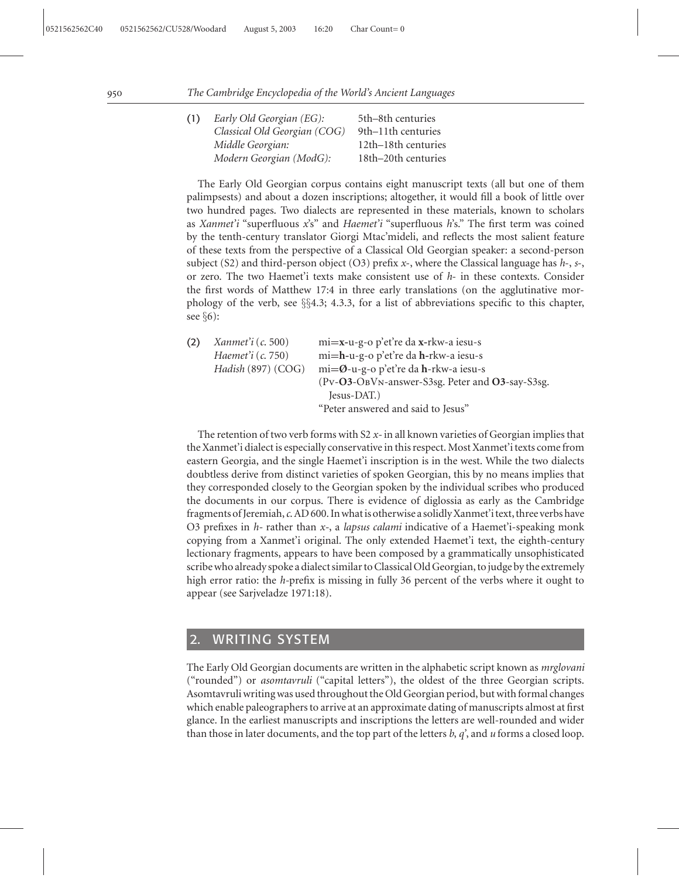950 *The Cambridge Encyclopedia of the World's Ancient Languages*

| (1) | Early Old Georgian (EG):     | 5th-8th centuries   |
|-----|------------------------------|---------------------|
|     | Classical Old Georgian (COG) | 9th–11th centuries  |
|     | Middle Georgian:             | 12th-18th centuries |
|     | Modern Georgian (ModG):      | 18th–20th centuries |

The Early Old Georgian corpus contains eight manuscript texts (all but one of them palimpsests) and about a dozen inscriptions; altogether, it would fill a book of little over two hundred pages. Two dialects are represented in these materials, known to scholars as *Xanmet'i* "superfluous *x*'s" and *Haemet'i* "superfluous *h*'s." The first term was coined by the tenth-century translator Giorgi Mtac'mideli, and reflects the most salient feature of these texts from the perspective of a Classical Old Georgian speaker: a second-person subject (S2) and third-person object (O3) prefix *x*-, where the Classical language has *h*-, *s*-, or zero. The two Haemet'i texts make consistent use of *h*- in these contexts. Consider the first words of Matthew 17:4 in three early translations (on the agglutinative morphology of the verb, see §§4.3; 4.3.3, for a list of abbreviations specific to this chapter, see §6):

| (2) | $Xannet'i$ (c. 500) | $mi=x-u-g-o$ p'et're da x-rkw-a iesu-s                    |
|-----|---------------------|-----------------------------------------------------------|
|     | Haemet'i $(c. 750)$ | $mi=h-u-g-o$ p'et're da $h$ -rkw-a iesu-s                 |
|     | Hadish (897) (COG)  | $mi = \emptyset$ -u-g-o p'et're da <b>h</b> -rkw-a iesu-s |
|     |                     | (Pv-O3-OBVN-answer-S3sg. Peter and O3-say-S3sg.           |
|     |                     | Jesus-DAT.                                                |
|     |                     | "Peter answered and said to Jesus"                        |
|     |                     |                                                           |

The retention of two verb forms with S2 *x-*in all known varieties of Georgian implies that the Xanmet'i dialect is especially conservative in this respect. Most Xanmet'i texts come from eastern Georgia, and the single Haemet'i inscription is in the west. While the two dialects doubtless derive from distinct varieties of spoken Georgian, this by no means implies that they corresponded closely to the Georgian spoken by the individual scribes who produced the documents in our corpus. There is evidence of diglossia as early as the Cambridge fragments of Jeremiah,*c*. AD 600. In what is otherwise a solidly Xanmet'i text, three verbs have O3 prefixes in *h-* rather than *x-*, a *lapsus calami* indicative of a Haemet'i-speaking monk copying from a Xanmet'i original. The only extended Haemet'i text, the eighth-century lectionary fragments, appears to have been composed by a grammatically unsophisticated scribe who already spoke a dialect similar to Classical Old Georgian, to judge by the extremely high error ratio: the *h-*prefix is missing in fully 36 percent of the verbs where it ought to appear (see Sarjveladze 1971:18).

# WRITING SYSTEM

The Early Old Georgian documents are written in the alphabetic script known as *mrglovani* ("rounded") or *asomtavruli* ("capital letters"), the oldest of the three Georgian scripts. Asomtavruli writing was used throughout the Old Georgian period, but with formal changes which enable paleographers to arrive at an approximate dating of manuscripts almost at first glance. In the earliest manuscripts and inscriptions the letters are well-rounded and wider than those in later documents, and the top part of the letters *b*, *q'*, and *u* forms a closed loop.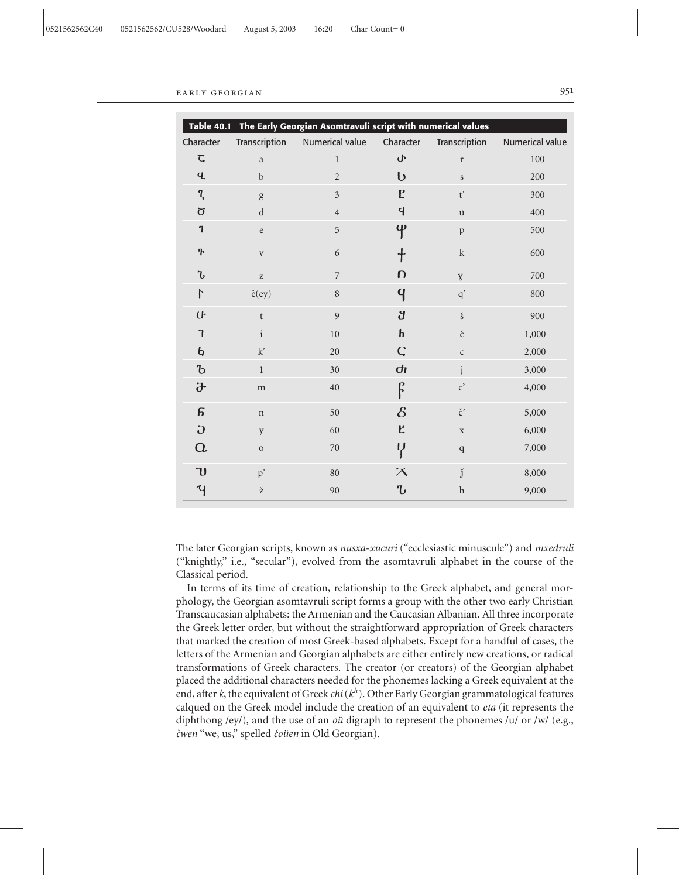# EARLY GEORGIAN 951

|                  |               | Table 40.1 The Early Georgian Asomtravuli script with numerical values |                           |                         |                 |
|------------------|---------------|------------------------------------------------------------------------|---------------------------|-------------------------|-----------------|
| Character        | Transcription | Numerical value                                                        | Character                 | Transcription           | Numerical value |
| $\mathsf C$      | $\rm{a}$      | $\mathbf{1}$                                                           | փ                         | $\mathbf r$             | 100             |
| $\mathbf{q}$     | $\mathbf b$   | $\overline{2}$                                                         | $\mathsf b$               | $\mathbf S$             | 200             |
| $\mathfrak{r}$   | $\mathrm g$   | $\overline{\mathbf{3}}$                                                | P                         | $\mathfrak{t}'$         | 300             |
| $\sigma$         | $\rm d$       | $\,4\,$                                                                | $\mathbf q$               | ü                       | 400             |
| $\mathbf 7$      | $\rm e$       | 5                                                                      | $\mathbf{P}$              | $\, {\bf p}$            | 500             |
| Դ                | $\mathbf{V}$  | 6                                                                      | $\ddagger$                | $\mathbf k$             | 600             |
| $\rm{v}$         | $\rm{z}$      | $\overline{7}$                                                         | $\Gamma$                  | $\mathbf{V}$            | 700             |
| $\mathsf{r}$     | $\hat{e}(ey)$ | 8                                                                      | $\mathsf{q}$              | q'                      | 800             |
| $\mathbf{r}$     | $\mathsf{t}$  | 9                                                                      | y                         | $\check{\mathbf{s}}$    | 900             |
| $\mathbf{1}$     | $\rm i$       | 10                                                                     | $\mathbf{h}$              | $\check{\rm c}$         | 1,000           |
| $\mathbf b$      | $\mathbf{k}'$ | 20                                                                     | $\mathsf C$               | $\mathsf{C}$            | 2,000           |
| $\mathbf b$      | $\mathbf{1}$  | 30                                                                     | $\mathbf{d}$              | j                       | 3,000           |
| $\partial$       | m             | 40                                                                     | $\boldsymbol{\mathsf{F}}$ | $\boldsymbol{c}^\prime$ | 4,000           |
| $\boldsymbol{5}$ | $\mathbf n$   | 50                                                                     | $\delta$                  | $\check{\mathsf{C}}$    | 5,000           |
| $\overline{O}$   | y             | 60                                                                     | K.                        | $\mathbf X$             | 6,000           |
| $\alpha$         | $\mathbf{o}$  | 70                                                                     | Y                         | $\mathbf q$             | 7,000           |
| $\mathbf{u}$     | p'            | 80                                                                     | $\overline{\mathsf{X}}$   | $\check{\text{J}}$      | 8,000           |
| $\mathsf{y}$     | ž             | 90                                                                     | $\mathcal{L}$             | $\,$ h                  | 9,000           |

The later Georgian scripts, known as *nusxa-xucuri* ("ecclesiastic minuscule") and *mxedruli* ("knightly," i.e., "secular"), evolved from the asomtavruli alphabet in the course of the Classical period.

In terms of its time of creation, relationship to the Greek alphabet, and general morphology, the Georgian asomtavruli script forms a group with the other two early Christian Transcaucasian alphabets: the Armenian and the Caucasian Albanian. All three incorporate the Greek letter order, but without the straightforward appropriation of Greek characters that marked the creation of most Greek-based alphabets. Except for a handful of cases, the letters of the Armenian and Georgian alphabets are either entirely new creations, or radical transformations of Greek characters. The creator (or creators) of the Georgian alphabet placed the additional characters needed for the phonemes lacking a Greek equivalent at the end, after *k*, the equivalent of Greek *chi*(*k<sup>h</sup>*). Other Early Georgian grammatological features calqued on the Greek model include the creation of an equivalent to *eta* (it represents the diphthong /ey/), and the use of an *ou* digraph to represent the phonemes /u/ or /w/ (e.g., *ˇcwen* "we, us," spelled *ˇcouen ¨* in Old Georgian).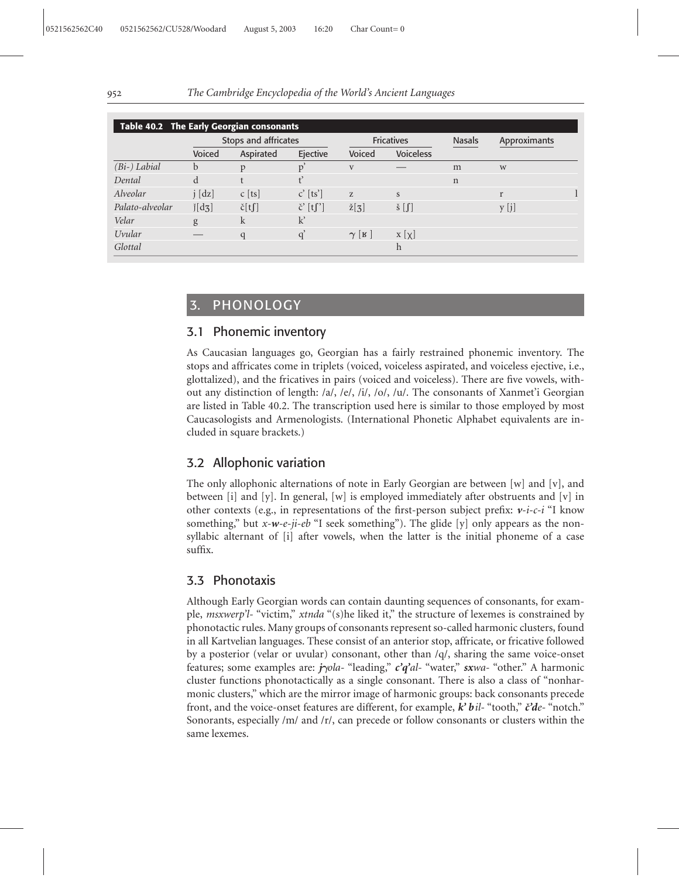|                 |                       | Stops and affricates |                      | <b>Fricatives</b> |                                     | <b>Nasals</b> | Approximants |
|-----------------|-----------------------|----------------------|----------------------|-------------------|-------------------------------------|---------------|--------------|
|                 | Voiced                | Aspirated            | Ejective             | Voiced            | <b>Voiceless</b>                    |               |              |
| $(Bi-)$ Labial  | b                     | D                    | $\mathbf{D}^{\cdot}$ | V                 |                                     | m             | W            |
| Dental          | d                     |                      |                      |                   |                                     | $\mathbf n$   |              |
| Alveolar        | $j \left[ dz \right]$ | $c$ [ts]             | $c'$ [ts']           | Z                 | S                                   |               | r            |
| Palato-alveolar | $\check{\jmath}$ [dz] | $\check{c}[t]$       | $\check{c}$ [tf']    | $\check{z}[3]$    | $\check{\mathbf{s}}$ [ $\uparrow$ ] |               | y i          |
| Velar           | g                     | $\mathbf k$          | $\rm k$ <sup>2</sup> |                   |                                     |               |              |
| Uvular          |                       | q                    | $\mathbf{q}'$        | $\gamma$   K      | $x   \chi $                         |               |              |
| Glottal         |                       |                      |                      |                   | h                                   |               |              |

# 3. PHONOLOGY

# 3.1 Phonemic inventory

As Caucasian languages go, Georgian has a fairly restrained phonemic inventory. The stops and affricates come in triplets (voiced, voiceless aspirated, and voiceless ejective, i.e., glottalized), and the fricatives in pairs (voiced and voiceless). There are five vowels, without any distinction of length: /a/, /e/, /i/, /o/, /u/. The consonants of Xanmet'i Georgian are listed in Table 40.2. The transcription used here is similar to those employed by most Caucasologists and Armenologists. (International Phonetic Alphabet equivalents are included in square brackets.)

# 3.2 Allophonic variation

The only allophonic alternations of note in Early Georgian are between [w] and [v], and between [i] and [y]. In general, [w] is employed immediately after obstruents and [v] in other contexts (e.g., in representations of the first-person subject prefix: *v-i-c-i* "I know something," but *x-w-e-ji-eb* "I seek something"). The glide [y] only appears as the nonsyllabic alternant of [i] after vowels, when the latter is the initial phoneme of a case suffix.

# 3.3 Phonotaxis

Although Early Georgian words can contain daunting sequences of consonants, for example, *msxwerp'l-* "victim," *xtnda* "(s)he liked it," the structure of lexemes is constrained by phonotactic rules. Many groups of consonants represent so-called harmonic clusters, found in all Kartvelian languages. These consist of an anterior stop, affricate, or fricative followed by a posterior (velar or uvular) consonant, other than /q/, sharing the same voice-onset features; some examples are: *jγola-* "leading," *c'q'al-* "water," *sxwa-* "other." A harmonic cluster functions phonotactically as a single consonant. There is also a class of "nonharmonic clusters," which are the mirror image of harmonic groups: back consonants precede front, and the voice-onset features are different, for example, *k' bil-* "tooth," *ˇc'de-* "notch." Sonorants, especially /m/ and /r/, can precede or follow consonants or clusters within the same lexemes.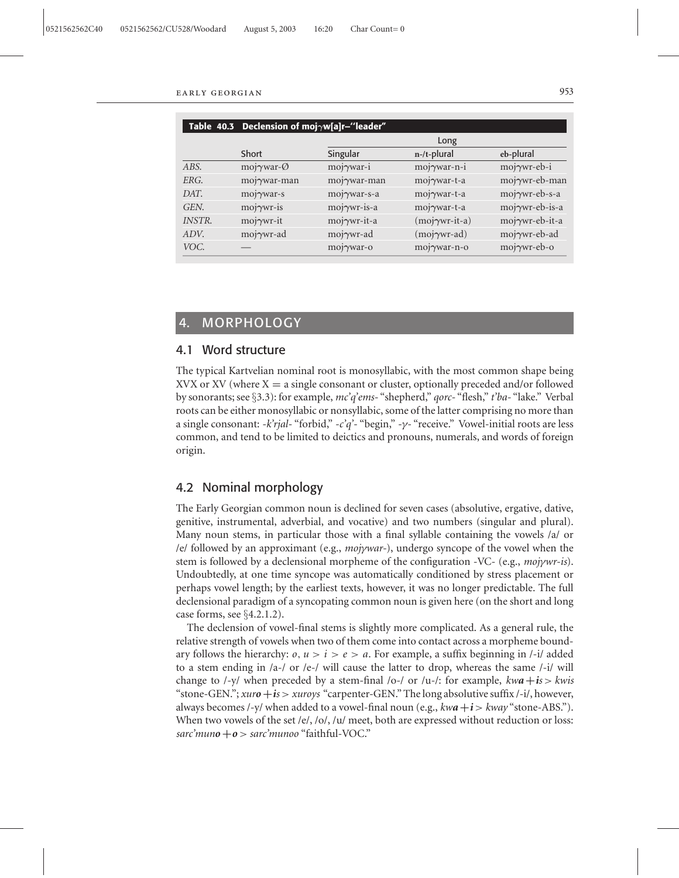|               | Table 40.3 Declension of moj $\gamma$ w[a]r-"leader" |                      |                       |                         |  |  |
|---------------|------------------------------------------------------|----------------------|-----------------------|-------------------------|--|--|
|               |                                                      |                      | Long                  |                         |  |  |
|               | Short                                                | Singular             | $n$ -/t-plural        | eb-plural               |  |  |
| ABS.          | moj $\gamma$ war- $\emptyset$                        | moj $\gamma$ war-i   | mojywar-n-i           | moj $\gamma$ wr-eb-i    |  |  |
| ERG.          | moj $\gamma$ war-man                                 | $moj\gamma$ war-man  | moj $\gamma$ war-t-a  | moj $\gamma$ wr-eb-man  |  |  |
| DAT.          | $moj\gamma$ war-s                                    | $moj\gamma$ war-s-a  | moj $\gamma$ war-t-a  | moj $\gamma$ wr-eb-s-a  |  |  |
| GEN.          | $moj\gamma wr-is$                                    | $moj\gamma wr-is-a$  | $moj\gamma$ war-t-a   | $moj\gamma$ wr-eb-is-a  |  |  |
| <b>INSTR.</b> | $moj\gamma wr-it$                                    | moj $\gamma$ wr-it-a | $(moj\gamma wr-it-a)$ | moj $\gamma$ wr-eb-it-a |  |  |
| ADV.          | $moj\gamma wr-ad$                                    | $moj\gamma wr-ad$    | $(moj\gamma wr-ad)$   | $moj\gamma$ wr-eb-ad    |  |  |
| VOC.          |                                                      | moj $\gamma$ war-o   | moj $\gamma$ war-n-o  | moj $\gamma$ wr-eb-o    |  |  |

# 4. MORPHOLOGY

# 4.1 Word structure

The typical Kartvelian nominal root is monosyllabic, with the most common shape being XVX or XV (where  $X = a$  single consonant or cluster, optionally preceded and/or followed by sonorants; see §3.3): for example, *mc'q'ems-* "shepherd," *qorc-* "flesh," *t'ba-* "lake." Verbal roots can be either monosyllabic or nonsyllabic, some of the latter comprising no more than a single consonant: *-k'rjal-* "forbid," *-c'q'-* "begin," *-*γ*-* "receive." Vowel-initial roots are less common, and tend to be limited to deictics and pronouns, numerals, and words of foreign origin.

# 4.2 Nominal morphology

The Early Georgian common noun is declined for seven cases (absolutive, ergative, dative, genitive, instrumental, adverbial, and vocative) and two numbers (singular and plural). Many noun stems, in particular those with a final syllable containing the vowels /a/ or /e/ followed by an approximant (e.g., *moj*γ*war-*), undergo syncope of the vowel when the stem is followed by a declensional morpheme of the configuration -VC- (e.g., *moj*γ*wr-is*). Undoubtedly, at one time syncope was automatically conditioned by stress placement or perhaps vowel length; by the earliest texts, however, it was no longer predictable. The full declensional paradigm of a syncopating common noun is given here (on the short and long case forms, see §4.2.1.2).

The declension of vowel-final stems is slightly more complicated. As a general rule, the relative strength of vowels when two of them come into contact across a morpheme boundary follows the hierarchy:  $\varphi, u > i > e > a$ . For example, a suffix beginning in /-i/ added to a stem ending in  $/a$ -/ or /e-/ will cause the latter to drop, whereas the same /-i/ will change to  $\frac{1}{y}$  when preceded by a stem-final  $\frac{1}{x}$  or  $\frac{1}{x}$ : for example,  $\frac{kwa + is}{kwa + is}$   $\frac{kwi}{x}$ "stone-GEN."; *xuro* **+***is* > *xuroys* "carpenter-GEN." The long absolutive suffix /-i/, however, always becomes /-y/ when added to a vowel-final noun (e.g.,  $kwa + i > kway$  "stone-ABS."). When two vowels of the set /e/, /o/, /u/ meet, both are expressed without reduction or loss: *sarc'muno* **+***o* > *sarc'munoo* "faithful-VOC."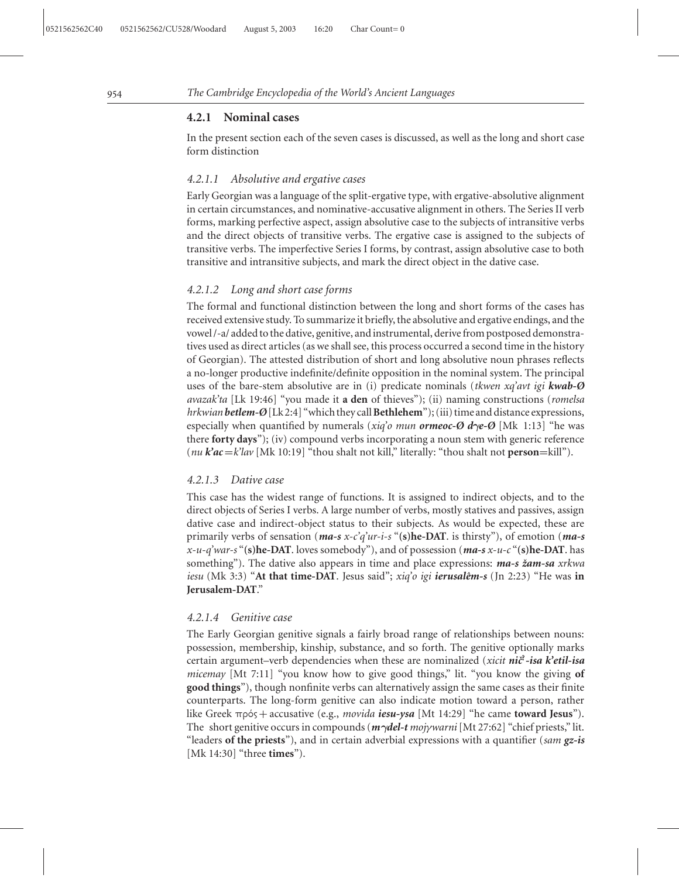#### **4.2.1 Nominal cases**

In the present section each of the seven cases is discussed, as well as the long and short case form distinction

#### *4.2.1.1 Absolutive and ergative cases*

Early Georgian was a language of the split-ergative type, with ergative-absolutive alignment in certain circumstances, and nominative-accusative alignment in others. The Series II verb forms, marking perfective aspect, assign absolutive case to the subjects of intransitive verbs and the direct objects of transitive verbs. The ergative case is assigned to the subjects of transitive verbs. The imperfective Series I forms, by contrast, assign absolutive case to both transitive and intransitive subjects, and mark the direct object in the dative case.

#### *4.2.1.2 Long and short case forms*

The formal and functional distinction between the long and short forms of the cases has received extensive study. To summarize it briefly, the absolutive and ergative endings, and the vowel /-a/ added to the dative, genitive, and instrumental, derive from postposed demonstratives used as direct articles (as we shall see, this process occurred a second time in the history of Georgian). The attested distribution of short and long absolutive noun phrases reflects a no-longer productive indefinite/definite opposition in the nominal system. The principal uses of the bare-stem absolutive are in (i) predicate nominals (*tkwen xq'avt igi kwab-Ø avazak'ta* [Lk 19:46] "you made it **a den** of thieves"); (ii) naming constructions (*romelsa hrkwianbetlem-Ø*[Lk 2:4] "which they call**Bethlehem**"); (iii) time and distance expressions, especially when quantified by numerals (*xiq'o mun ormeoc-Ø dγe-Ø* [Mk 1:13] "he was there **forty days**"); (iv) compound verbs incorporating a noun stem with generic reference (*nu k'ac* =*k'lav* [Mk 10:19] "thou shalt not kill," literally: "thou shalt not **person**=kill").

#### *4.2.1.3 Dative case*

This case has the widest range of functions. It is assigned to indirect objects, and to the direct objects of Series I verbs. A large number of verbs, mostly statives and passives, assign dative case and indirect-object status to their subjects. As would be expected, these are primarily verbs of sensation (*ma-s x-c'q'ur-i-s* "**(s)he-DAT**. is thirsty"), of emotion (*ma-s x-u-q'war-s* "**(s)he-DAT**. loves somebody"), and of possession (*ma-s x-u-c* "**(s)he-DAT**. has something"). The dative also appears in time and place expressions: *ma-s zam-sa ˇ xrkwa iesu* (Mk 3:3) "**At that time-DAT**. Jesus said"; *xiq'o igi ierusalem-s ˆ* (Jn 2:23) "He was **in Jerusalem-DAT**."

#### *4.2.1.4 Genitive case*

The Early Georgian genitive signals a fairly broad range of relationships between nouns: possession, membership, kinship, substance, and so forth. The genitive optionally marks certain argument–verb dependencies when these are nominalized (*xicit niˇc***?** *-isa k'etil-isa micemay* [Mt 7:11] "you know how to give good things," lit. "you know the giving **of good things**"), though nonfinite verbs can alternatively assign the same cases as their finite counterparts. The long-form genitive can also indicate motion toward a person, rather like Greek πρός + accusative (e.g., *movida iesu-ysa* [Mt 14:29] "he came **toward Jesus**"). The short genitive occurs in compounds (*mγdel-t moj*γ*warni*[Mt 27:62] "chief priests," lit. "leaders **of the priests**"), and in certain adverbial expressions with a quantifier (*sam gz-is* [Mk 14:30] "three **times**").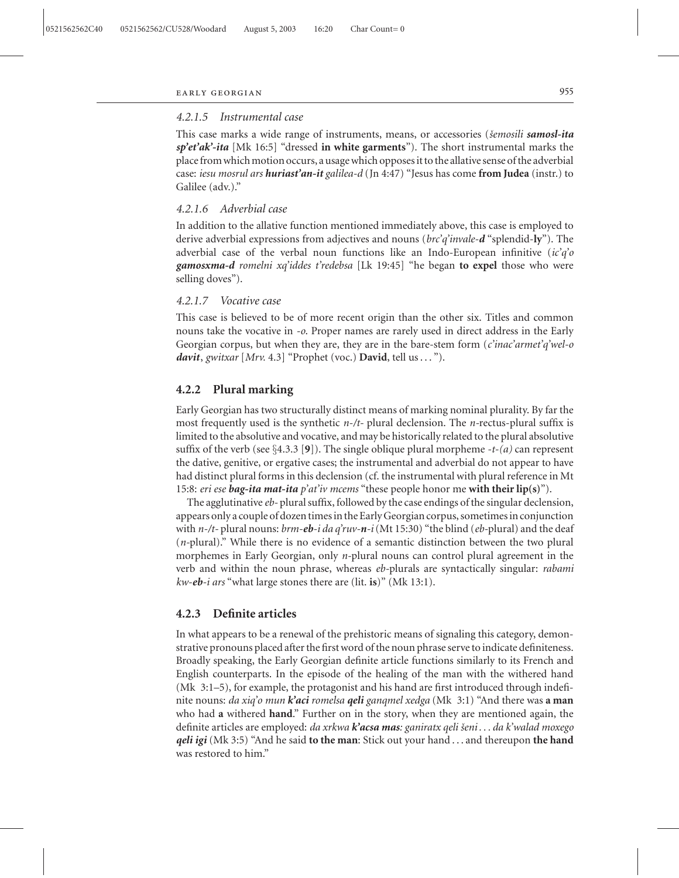#### *4.2.1.5 Instrumental case*

This case marks a wide range of instruments, means, or accessories (*ˇsemosili samosl-ita sp'et'ak'-ita* [Mk 16:5] "dressed **in white garments**"). The short instrumental marks the place from which motion occurs, a usage which opposes it to the allative sense of the adverbial case: *iesu mosrul ars huriast'an-it galilea-d* (Jn 4:47) "Jesus has come **from Judea** (instr.) to Galilee (adv.)."

#### *4.2.1.6 Adverbial case*

In addition to the allative function mentioned immediately above, this case is employed to derive adverbial expressions from adjectives and nouns (*brc'q'invale-d* "splendid-**ly**"). The adverbial case of the verbal noun functions like an Indo-European infinitive (*ic'q'o gamosxma-d romelni xq'iddes t'redebsa* [Lk 19:45] "he began **to expel** those who were selling doves").

#### *4.2.1.7 Vocative case*

This case is believed to be of more recent origin than the other six. Titles and common nouns take the vocative in *-o*. Proper names are rarely used in direct address in the Early Georgian corpus, but when they are, they are in the bare-stem form (*c'inac'armet'q'wel-o davit*, *gwitxar* [*Mrv.* 4.3] "Prophet (voc.) **David**, tell us . . . ").

#### **4.2.2 Plural marking**

Early Georgian has two structurally distinct means of marking nominal plurality. By far the most frequently used is the synthetic *n-/t-* plural declension. The *n-*rectus-plural suffix is limited to the absolutive and vocative, and may be historically related to the plural absolutive suffix of the verb (see §4.3.3 [**9**]). The single oblique plural morpheme *-t-(a)* can represent the dative, genitive, or ergative cases; the instrumental and adverbial do not appear to have had distinct plural forms in this declension (cf. the instrumental with plural reference in Mt 15:8: *eri ese bag-ita mat-ita p'at'iv mcems* "these people honor me **with their lip(s)**").

The agglutinative *eb-* plural suffix, followed by the case endings of the singular declension, appears only a couple of dozen times in the Early Georgian corpus, sometimes in conjunction with *n-/t-* plural nouns: *brm-eb-i da q'ruv-n-i*(Mt 15:30) "the blind (*eb-*plural) and the deaf (*n-*plural)." While there is no evidence of a semantic distinction between the two plural morphemes in Early Georgian, only *n-*plural nouns can control plural agreement in the verb and within the noun phrase, whereas *eb-*plurals are syntactically singular: *rabami kw-eb-i ars* "what large stones there are (lit. **is**)" (Mk 13:1).

#### **4.2.3 Definite articles**

In what appears to be a renewal of the prehistoric means of signaling this category, demonstrative pronouns placed after the first word of the noun phrase serve to indicate definiteness. Broadly speaking, the Early Georgian definite article functions similarly to its French and English counterparts. In the episode of the healing of the man with the withered hand (Mk 3:1–5), for example, the protagonist and his hand are first introduced through indefinite nouns: *da xiq'o mun k'aci romelsa qeli ganqmel xedga* (Mk 3:1) "And there was **a man** who had **a** withered **hand**." Further on in the story, when they are mentioned again, the definite articles are employed: *da xrkwa k'acsa mas: ganiratx qeli ˇseni . . . da k'walad moxego qeli igi* (Mk 3:5) "And he said **to the man**: Stick out your hand . . . and thereupon **the hand** was restored to him."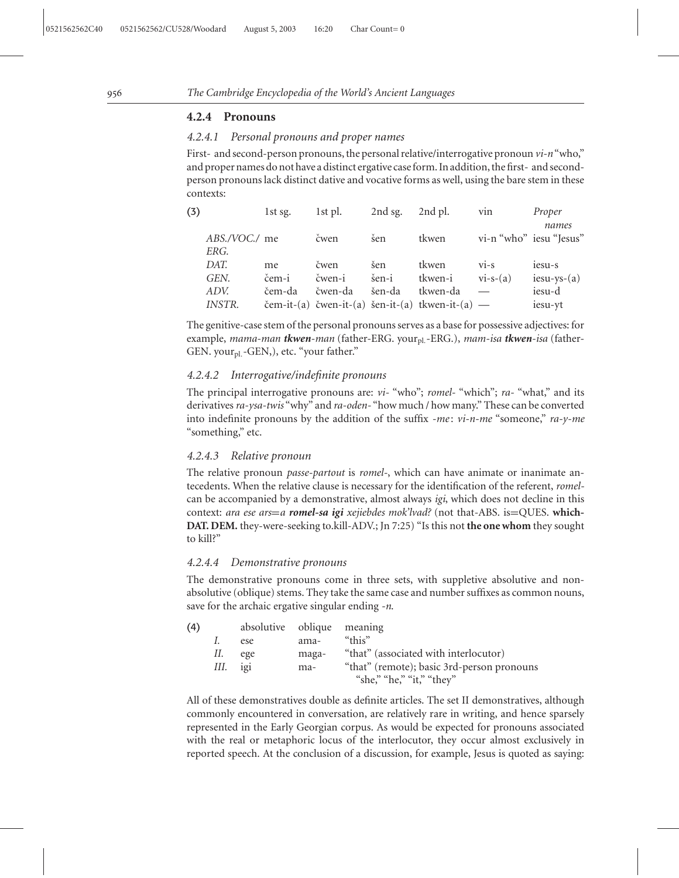#### **4.2.4 Pronouns**

#### *4.2.4.1 Personal pronouns and proper names*

First- and second-person pronouns, the personal relative/interrogative pronoun *vi-n* "who," and proper names do not have a distinct ergative case form. In addition, thefirst- and secondperson pronouns lack distinct dative and vocative forms as well, using the bare stem in these contexts:

| (3) |                              | $1st$ sg. | 1st pl. | 2nd sg. $2nd \rho l$ . |                                                  | vin                     | Proper        |
|-----|------------------------------|-----------|---------|------------------------|--------------------------------------------------|-------------------------|---------------|
|     | <i>ABS./VOC./</i> me<br>ERG. |           | čwen    | šen                    | tkwen                                            | vi-n "who" iesu "Jesus" | names         |
|     | DAT.                         | me        | čwen    | šen                    | tkwen                                            | $vi-s$                  | iesu-s        |
|     | GEN.                         | čem-i     | čwen-i  | šen-i                  | tkwen-i                                          | $vi-s-(a)$              | $iesu-ys-(a)$ |
|     | ADV.                         | čem-da    | čwen-da | šen-da                 | tkwen-da                                         |                         | iesu-d        |
|     | <i>INSTR.</i>                |           |         |                        | čem-it-(a) čwen-it-(a) šen-it-(a) tkwen-it-(a) — |                         | iesu-yt       |

The genitive-case stem of the personal pronouns serves as a base for possessive adjectives: for example, *mama-man tkwen-man* (father-ERG. yourpl.-ERG.), *mam-isa tkwen-isa* (father-GEN. your<sub>pl.</sub>-GEN,), etc. "your father."

#### *4.2.4.2 Interrogative/indefinite pronouns*

The principal interrogative pronouns are: *vi-* "who"; *romel-* "which"; *ra-* "what," and its derivatives*ra-ysa-twis* "why" and *ra-oden-* "how much / how many." These can be converted into indefinite pronouns by the addition of the suffix *-me*: *vi-n-me* "someone," *ra-y-me* "something," etc.

#### *4.2.4.3 Relative pronoun*

The relative pronoun *passe-partout* is *romel-*, which can have animate or inanimate antecedents. When the relative clause is necessary for the identification of the referent, *romel*can be accompanied by a demonstrative, almost always *igi*, which does not decline in this context: *ara ese ars*=*a romel-sa igi xejiebdes mok'lvad?* (not that-ABS. is=QUES. **which-DAT. DEM.** they-were-seeking to.kill-ADV.; Jn 7:25) "Is this not **the one whom** they sought to kill?"

#### *4.2.4.4 Demonstrative pronouns*

The demonstrative pronouns come in three sets, with suppletive absolutive and nonabsolutive (oblique) stems. They take the same case and number suffixes as common nouns, save for the archaic ergative singular ending *-n*.

| (4) |            | absolutive oblique meaning |       |                                            |
|-----|------------|----------------------------|-------|--------------------------------------------|
|     |            | ese                        | ama-  | "this"                                     |
|     | П.         | ege                        | maga- | "that" (associated with interlocutor)      |
|     | $III.$ igi |                            | ma-   | "that" (remote); basic 3rd-person pronouns |
|     |            |                            |       | "she," "he," "it," "they"                  |

All of these demonstratives double as definite articles. The set II demonstratives, although commonly encountered in conversation, are relatively rare in writing, and hence sparsely represented in the Early Georgian corpus. As would be expected for pronouns associated with the real or metaphoric locus of the interlocutor, they occur almost exclusively in reported speech. At the conclusion of a discussion, for example, Jesus is quoted as saying: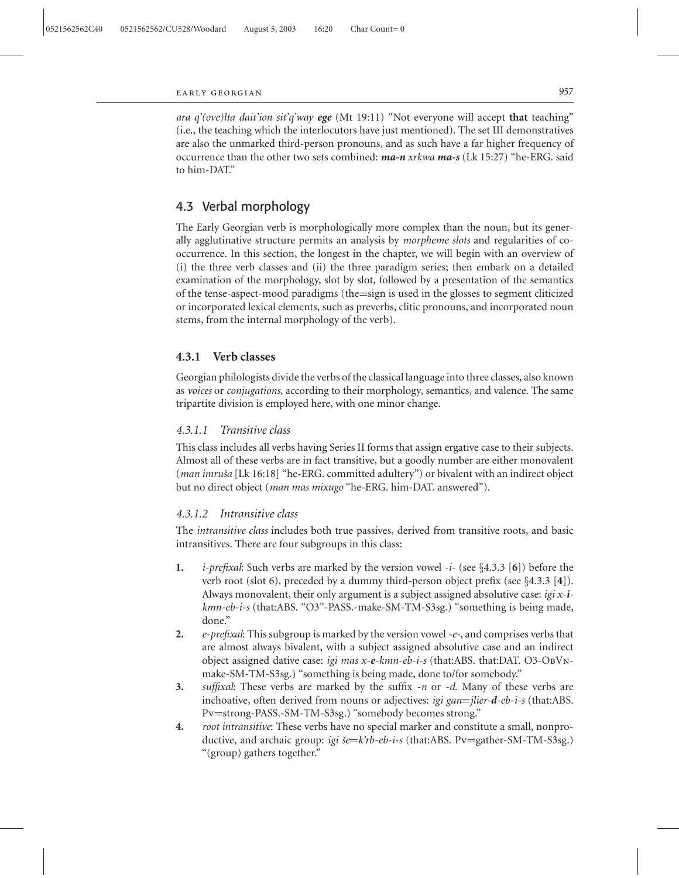*ara q'(ove)lta dait'ion sit'q'way ege* (Mt 19:11) "Not everyone will accept **that** teaching" (i.e., the teaching which the interlocutors have just mentioned). The set III demonstratives are also the unmarked third-person pronouns, and as such have a far higher frequency of occurrence than the other two sets combined: *ma-n xrkwa ma-s* (Lk 15:27) "he-ERG. said to him-DAT."

# 4.3 Verbal morphology

The Early Georgian verb is morphologically more complex than the noun, but its generally agglutinative structure permits an analysis by *morpheme slots* and regularities of cooccurrence. In this section, the longest in the chapter, we will begin with an overview of (i) the three verb classes and (ii) the three paradigm series; then embark on a detailed examination of the morphology, slot by slot, followed by a presentation of the semantics of the tense-aspect-mood paradigms (the=sign is used in the glosses to segment cliticized or incorporated lexical elements, such as preverbs, clitic pronouns, and incorporated noun stems, from the internal morphology of the verb).

#### **4.3.1 Verb classes**

Georgian philologists divide the verbs of the classical language into three classes, also known as *voices* or *conjugations*, according to their morphology, semantics, and valence. The same tripartite division is employed here, with one minor change.

#### *4.3.1.1 Transitive class*

This class includes all verbs having Series II forms that assign ergative case to their subjects. Almost all of these verbs are in fact transitive, but a goodly number are either monovalent (*man imruˇsa* [Lk 16:18] "he-ERG. committed adultery") or bivalent with an indirect object but no direct object (*man mas mixugo* "he-ERG. him-DAT. answered").

#### *4.3.1.2 Intransitive class*

The *intransitive class* includes both true passives, derived from transitive roots, and basic intransitives. There are four subgroups in this class:

- **1.** *i-prefixal*: Such verbs are marked by the version vowel *-i-* (see §4.3.3 [**6**]) before the verb root (slot 6), preceded by a dummy third-person object prefix (see §4.3.3 [**4**]). Always monovalent, their only argument is a subject assigned absolutive case: *igi x-ikmn-eb-i-s* (that:ABS. "O3"-PASS.-make-SM-TM-S3sg.) "something is being made, done."
- **2.** *e-prefixal*: This subgroup is marked by the version vowel *-e-*, and comprises verbs that are almost always bivalent, with a subject assigned absolutive case and an indirect object assigned dative case: *igi mas x-e-kmn-eb-i-s* (that:ABS. that:DAT. O3-ObVnmake-SM-TM-S3sg.) "something is being made, done to/for somebody."
- **3.** *suffixal*: These verbs are marked by the suffix *-n* or *-d*. Many of these verbs are inchoative, often derived from nouns or adjectives: *igi gan*=*jlier-d-eb-i-s* (that:ABS. Pv=strong-PASS.-SM-TM-S3sg.) "somebody becomes strong."
- **4.** *root intransitive*: These verbs have no special marker and constitute a small, nonproductive, and archaic group: *igi ˇse*=*k'rb-eb-i-s* (that:ABS. Pv=gather-SM-TM-S3sg.) "(group) gathers together."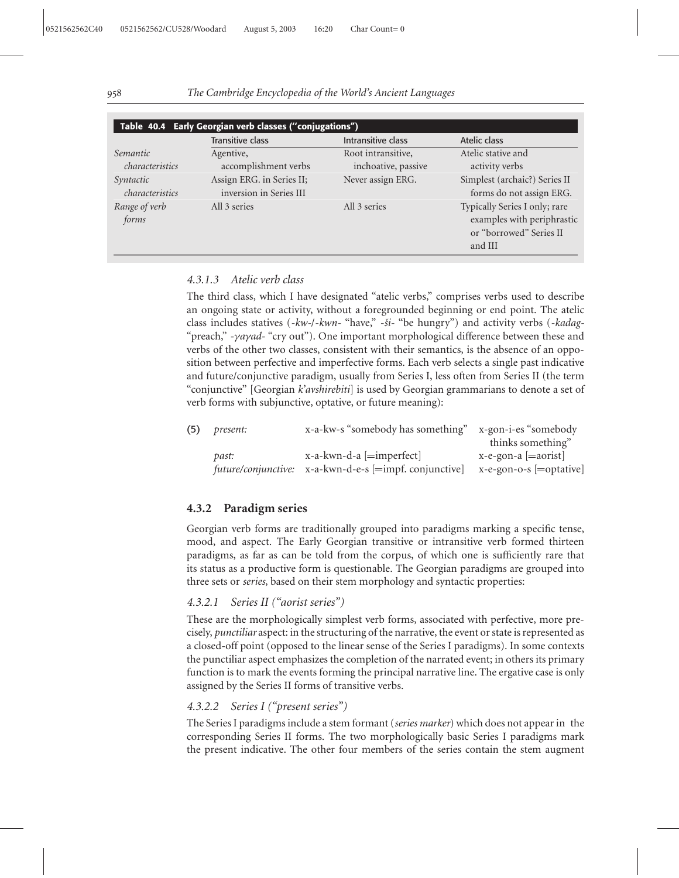| Table 40.4 Early Georgian verb classes ("conjugations") |                                                      |                                           |                                                                                                   |  |  |  |
|---------------------------------------------------------|------------------------------------------------------|-------------------------------------------|---------------------------------------------------------------------------------------------------|--|--|--|
|                                                         | <b>Transitive class</b>                              | Intransitive class                        | Atelic class                                                                                      |  |  |  |
| <i>Semantic</i><br>characteristics                      | Agentive,<br>accomplishment verbs                    | Root intransitive,<br>inchoative, passive | Atelic stative and<br>activity verbs                                                              |  |  |  |
| Syntactic<br>characteristics                            | Assign ERG. in Series II;<br>inversion in Series III | Never assign ERG.                         | Simplest (archaic?) Series II<br>forms do not assign ERG.                                         |  |  |  |
| Range of verb<br>forms                                  | All 3 series                                         | All 3 series                              | Typically Series I only; rare<br>examples with periphrastic<br>or "borrowed" Series II<br>and III |  |  |  |

### *4.3.1.3 Atelic verb class*

The third class, which I have designated "atelic verbs," comprises verbs used to describe an ongoing state or activity, without a foregrounded beginning or end point. The atelic class includes statives (*-kw-*/*-kwn-* "have," *-ˇsi-* "be hungry") and activity verbs (*-kadag-* "preach," *-*γ*a*γ*ad-* "cry out"). One important morphological difference between these and verbs of the other two classes, consistent with their semantics, is the absence of an opposition between perfective and imperfective forms. Each verb selects a single past indicative and future/conjunctive paradigm, usually from Series I, less often from Series II (the term "conjunctive" [Georgian *k'avshirebiti*] is used by Georgian grammarians to denote a set of verb forms with subjunctive, optative, or future meaning):

|       | x-a-kw-s "somebody has something" x-gon-i-es "somebody" |                                                                                           |
|-------|---------------------------------------------------------|-------------------------------------------------------------------------------------------|
|       |                                                         | thinks something"                                                                         |
| past: |                                                         | $x-e-gon-a$ $= aorist$                                                                    |
|       |                                                         | $x-e-gon-o-s$ $=$ optative                                                                |
|       | present:                                                | x-a-kwn-d-a [=imperfect]<br><i>future/conjunctive:</i> x-a-kwn-d-e-s [=impf. conjunctive] |

# **4.3.2 Paradigm series**

Georgian verb forms are traditionally grouped into paradigms marking a specific tense, mood, and aspect. The Early Georgian transitive or intransitive verb formed thirteen paradigms, as far as can be told from the corpus, of which one is sufficiently rare that its status as a productive form is questionable. The Georgian paradigms are grouped into three sets or *series*, based on their stem morphology and syntactic properties:

#### *4.3.2.1 Series II ("aorist series")*

These are the morphologically simplest verb forms, associated with perfective, more precisely, *punctiliar* aspect: in the structuring of the narrative, the event or state is represented as a closed-off point (opposed to the linear sense of the Series I paradigms). In some contexts the punctiliar aspect emphasizes the completion of the narrated event; in others its primary function is to mark the events forming the principal narrative line. The ergative case is only assigned by the Series II forms of transitive verbs.

# *4.3.2.2 Series I ("present series")*

The Series I paradigms include a stem formant (*series marker*) which does not appear in the corresponding Series II forms. The two morphologically basic Series I paradigms mark the present indicative. The other four members of the series contain the stem augment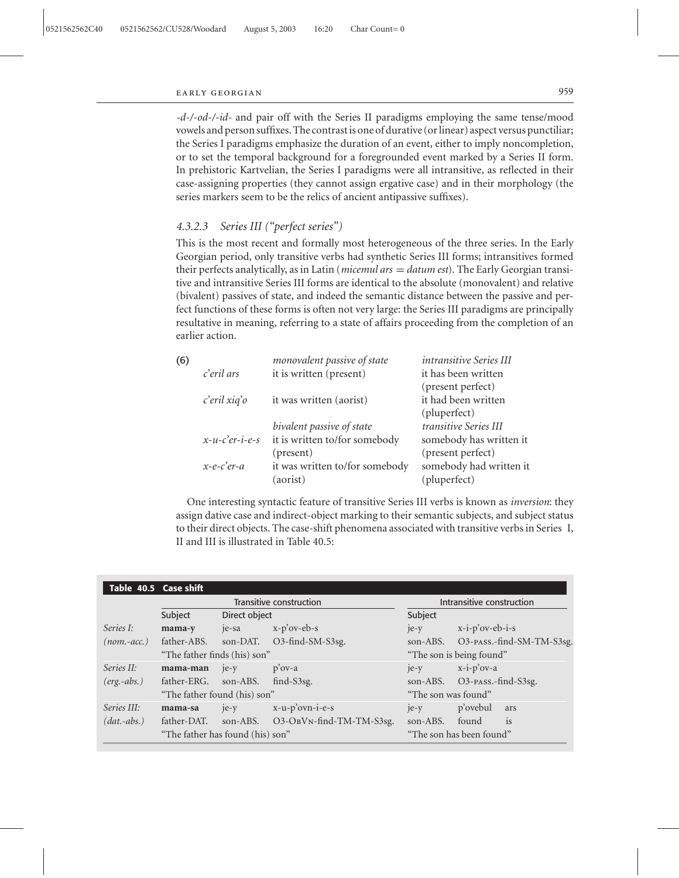*-d-/-od-/-id-* and pair off with the Series II paradigms employing the same tense/mood vowels and person suffixes. The contrast is one of durative (or linear) aspect versus punctiliar; the Series I paradigms emphasize the duration of an event, either to imply noncompletion, or to set the temporal background for a foregrounded event marked by a Series II form. In prehistoric Kartvelian, the Series I paradigms were all intransitive, as reflected in their case-assigning properties (they cannot assign ergative case) and in their morphology (the series markers seem to be the relics of ancient antipassive suffixes).

# *4.3.2.3 Series III ("perfect series")*

This is the most recent and formally most heterogeneous of the three series. In the Early Georgian period, only transitive verbs had synthetic Series III forms; intransitives formed their perfects analytically, as in Latin (*micemul ars* = *datum est*). The Early Georgian transitive and intransitive Series III forms are identical to the absolute (monovalent) and relative (bivalent) passives of state, and indeed the semantic distance between the passive and perfect functions of these forms is often not very large: the Series III paradigms are principally resultative in meaning, referring to a state of affairs proceeding from the completion of an earlier action.

| (6) |                      | monovalent passive of state                | intransitive Series III                 |
|-----|----------------------|--------------------------------------------|-----------------------------------------|
|     | $\vec{c}$ eril ars   | it is written (present)                    | it has been written                     |
|     |                      |                                            | (present perfect)                       |
|     | $\vec{c}$ eril xiq'o | it was written (aorist)                    | it had been written                     |
|     |                      |                                            | (pluperfect)                            |
|     |                      | bivalent passive of state                  | transitive Series III                   |
|     | $x$ -u-c'er-i-e-s    | it is written to/for somebody              | somebody has written it                 |
|     |                      | (present)                                  | (present perfect)                       |
|     | $x-e-c'er-a$         | it was written to/for somebody<br>(aorist) | somebody had written it<br>(pluperfect) |
|     |                      |                                            |                                         |

One interesting syntactic feature of transitive Series III verbs is known as *inversion*: they assign dative case and indirect-object marking to their semantic subjects, and subject status to their direct objects. The case-shift phenomena associated with transitive verbs in Series I, II and III is illustrated in Table 40.5:

| Table 40.5 Case shift |                                                              |               |                                               |                           |                     |                           |
|-----------------------|--------------------------------------------------------------|---------------|-----------------------------------------------|---------------------------|---------------------|---------------------------|
|                       | Transitive construction                                      |               |                                               | Intransitive construction |                     |                           |
|                       | Subject                                                      | Direct object |                                               | Subject                   |                     |                           |
| Series I:             | mama-y                                                       | je-sa         | $x-p'ov-eb-s$                                 | $je-y$                    | $x-i-p'ov-eb-i-s$   |                           |
| $(nom.\,-acc.)$       | father-ABS.                                                  | son-DAT.      | O3-find-SM-S3sg.                              | son-ABS.                  |                     | O3-pass.-find-SM-TM-S3sg. |
|                       | "The father finds (his) son"                                 |               |                                               | "The son is being found"  |                     |                           |
| Series II:            | mama-man                                                     | $je-y$        | $p'$ ov-a                                     | $ie-v$                    | $x-i-p'ov-a$        |                           |
| $(erg. -abs.)$        | father-ERG. son-ABS.                                         |               | find-S3sg.                                    | son-ABS.                  | O3-PASS.-find-S3sg. |                           |
|                       | "The father found (his) son"                                 |               |                                               | "The son was found"       |                     |                           |
| Series III:           | mama-sa                                                      | $je-y$        | x-u-p'ovn-i-e-s                               | $ie-v$                    | p'ovebul            | ars                       |
| $(data.-abs.)$        |                                                              |               | father-DAT. son-ABS. O3-OBVN-find-TM-TM-S3sg. | son-ABS.                  | found               | is                        |
|                       | "The son has been found"<br>"The father has found (his) son" |               |                                               |                           |                     |                           |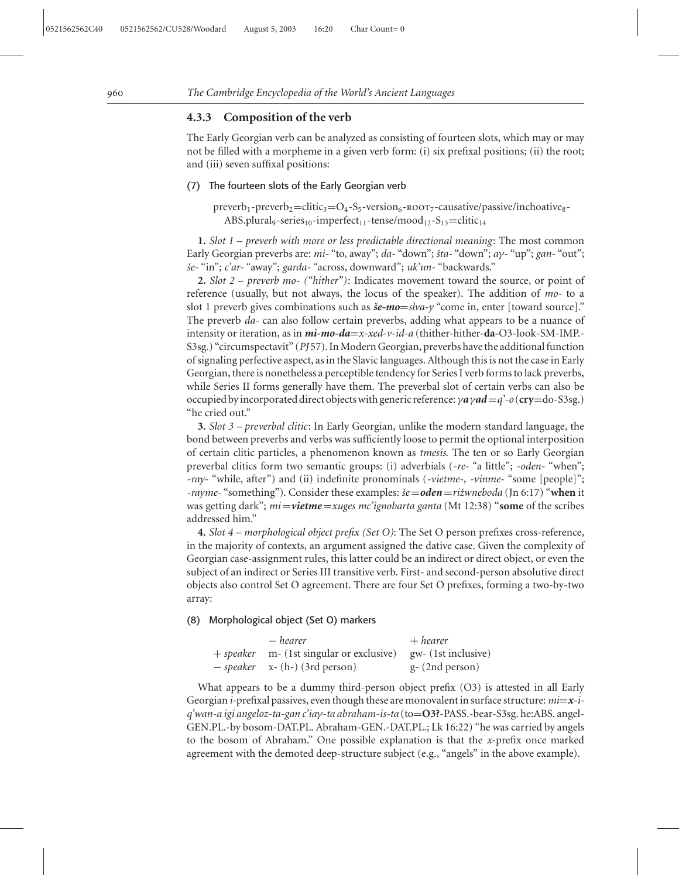#### **4.3.3 Composition of the verb**

The Early Georgian verb can be analyzed as consisting of fourteen slots, which may or may not be filled with a morpheme in a given verb form: (i) six prefixal positions; (ii) the root; and (iii) seven suffixal positions:

#### (7) The fourteen slots of the Early Georgian verb

 $preverb_1-preverb_2=clitic_3=O_4-S_5-version_6-Root_7-causative/passive/inchaative_8-$ ABS.plural<sub>9</sub>-series<sub>10</sub>-imperfect<sub>11</sub>-tense/mood<sub>12</sub>-S<sub>13</sub>=clitic<sub>14</sub>

**1.** *Slot 1 – preverb with more or less predictable directional meaning* : The most common Early Georgian preverbs are: *mi*- "to, away"; *da*- "down"; *šta*- "down"; *aγ*- "up"; *gan*- "out"; *ˇse-* "in"; *c'ar-* "away"; *garda-* "across, downward"; *uk'un-* "backwards."

**2.** *Slot 2 – preverb mo- ("hither")*: Indicates movement toward the source, or point of reference (usually, but not always, the locus of the speaker). The addition of *mo-* to a slot 1 preverb gives combinations such as  $\breve{\mathbf{z}}_e - m\mathbf{z}_e = \mathbf{z}_e$  and  $\mathbf{z}_e$  are free [toward source]." The preverb *da-* can also follow certain preverbs, adding what appears to be a nuance of intensity or iteration, as in *mi-mo-da*=*x-xed-v-id-a* (thither-hither-**da-**O3-look-SM-IMP.- S3sg.) "circumspectavit" (*PJ* 57). In Modern Georgian, preverbs have the additional function of signaling perfective aspect, as in the Slavic languages. Although this is not the case in Early Georgian, there is nonetheless a perceptible tendency for Series I verb forms to lack preverbs, while Series II forms generally have them. The preverbal slot of certain verbs can also be occupied by incorporated direct objects with generic reference: γ*a*γ*ad* =*q'-o* (**cry**=do-S3sg.) "he cried out."

**3.** *Slot 3 – preverbal clitic*: In Early Georgian, unlike the modern standard language, the bond between preverbs and verbs was sufficiently loose to permit the optional interposition of certain clitic particles, a phenomenon known as *tmesis*. The ten or so Early Georgian preverbal clitics form two semantic groups: (i) adverbials (*-re-* "a little"; *-oden-* "when"; *-ray-* "while, after") and (ii) indefinite pronominals (*-vietme-*, *-vinme-* "some [people]"; *-rayme-* "something"). Consider these examples: *ˇse* =*oden* =*riˇzwneboda* (Jn 6:17) "**when** it was getting dark"; *mi* =*vietme* =*xuges mc'ignobarta ganta* (Mt 12:38) "**some** of the scribes addressed him."

**4.** *Slot 4 – morphological object prefix (Set O)*: The Set O person prefixes cross-reference, in the majority of contexts, an argument assigned the dative case. Given the complexity of Georgian case-assignment rules, this latter could be an indirect or direct object, or even the subject of an indirect or Series III transitive verb. First- and second-person absolutive direct objects also control Set O agreement. There are four Set O prefixes, forming a two-by-two array:

#### (8) Morphological object (Set O) markers

| — hearer                                                       | $+$ hearer      |
|----------------------------------------------------------------|-----------------|
| $+$ speaker m- (1st singular or exclusive) gw- (1st inclusive) |                 |
| $-$ speaker $x-(h-)$ (3rd person)                              | g- (2nd person) |

What appears to be a dummy third-person object prefix (O3) is attested in all Early Georgian *i-*prefixal passives, even though these are monovalent in surface structure:*mi*=*x-iq'wan-a igi angeloz-ta-gan c'ia*γ*-ta abraham-is-ta* (to=**O3?**-PASS.-bear-S3sg. he:ABS. angel-GEN.PL.-by bosom-DAT.PL. Abraham-GEN.-DAT.PL.; Lk 16:22) "he was carried by angels to the bosom of Abraham." One possible explanation is that the *x*-prefix once marked agreement with the demoted deep-structure subject (e.g., "angels" in the above example).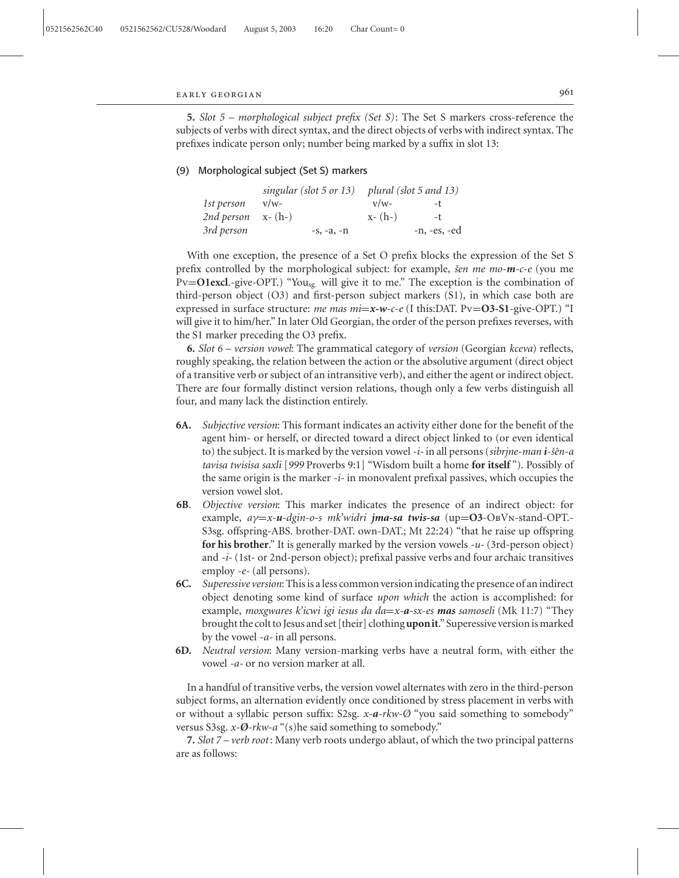**5.** *Slot 5 – morphological subject prefix (Set S)*: The Set S markers cross-reference the subjects of verbs with direct syntax, and the direct objects of verbs with indirect syntax. The prefixes indicate person only; number being marked by a suffix in slot 13:

#### (9) Morphological subject (Set S) markers

|                     | singular (slot $5$ or 13) |          | plural (slot 5 and 13) |  |  |
|---------------------|---------------------------|----------|------------------------|--|--|
| 1st person          | $V/W-$                    | $V/W-$   | -t                     |  |  |
| 2nd person $x-(h-)$ |                           | $x-(h-)$ | -t                     |  |  |
| 3rd person          | $-s, -a, -n$              |          | $-n, -es, -ed$         |  |  |

With one exception, the presence of a Set O prefix blocks the expression of the Set S prefix controlled by the morphological subject: for example, *ˇsen me mo-m-c-e* (you me Pv=**O1excl**.-give-OPT.) "Yousg. will give it to me." The exception is the combination of third-person object (O3) and first-person subject markers (S1), in which case both are expressed in surface structure: *me mas mi*=*x-w-c-e* (I this:DAT. Pv=**O3-S1**-give-OPT.) "I will give it to him/her." In later Old Georgian, the order of the person prefixes reverses, with the S1 marker preceding the O3 prefix.

**6.** *Slot 6 – version vowel*: The grammatical category of *version* (Georgian *kceva*) reflects, roughly speaking, the relation between the action or the absolutive argument (direct object of a transitive verb or subject of an intransitive verb), and either the agent or indirect object. There are four formally distinct version relations, though only a few verbs distinguish all four, and many lack the distinction entirely.

- **6A.** *Subjective version*: This formant indicates an activity either done for the benefit of the agent him- or herself, or directed toward a direct object linked to (or even identical to) the subject. It is marked by the version vowel *-i-* in all persons (*sibrjne-man i-ˇsˆen-a tavisa twisisa saxli* [*999* Proverbs 9:1] "Wisdom built a home **for itself** "). Possibly of the same origin is the marker *-i-* in monovalent prefixal passives, which occupies the version vowel slot.
- **6B**. *Objective version*: This marker indicates the presence of an indirect object: for example, *a*γ=*x-u-dgin-o-s mk'widri jma-sa twis-sa* (up=**O3**-ObVn-stand-OPT.- S3sg. offspring-ABS. brother-DAT. own-DAT.; Mt 22:24) "that he raise up offspring **for his brother**." It is generally marked by the version vowels *-u-* (3rd-person object) and *-i-* (1st- or 2nd-person object); prefixal passive verbs and four archaic transitives employ *-e-* (all persons).
- **6C.** *Superessive version*: This is a less common version indicating the presence of an indirect object denoting some kind of surface *upon which* the action is accomplished: for example, *moxgwares k'icwi igi iesus da da*=*x-a-sx-es mas samoseli* (Mk 11:7) "They brought the colt to Jesus and set [their] clothing**upon it**." Superessive version is marked by the vowel *-a-* in all persons.
- **6D.** *Neutral version*: Many version-marking verbs have a neutral form, with either the vowel *-a-* or no version marker at all.

In a handful of transitive verbs, the version vowel alternates with zero in the third-person subject forms, an alternation evidently once conditioned by stress placement in verbs with or without a syllabic person suffix: S2sg. *x-a-rkw-Ø* "you said something to somebody" versus S3sg. *x-Ø-rkw-a* "(s)he said something to somebody."

**7.** *Slot 7 – verb root* : Many verb roots undergo ablaut, of which the two principal patterns are as follows: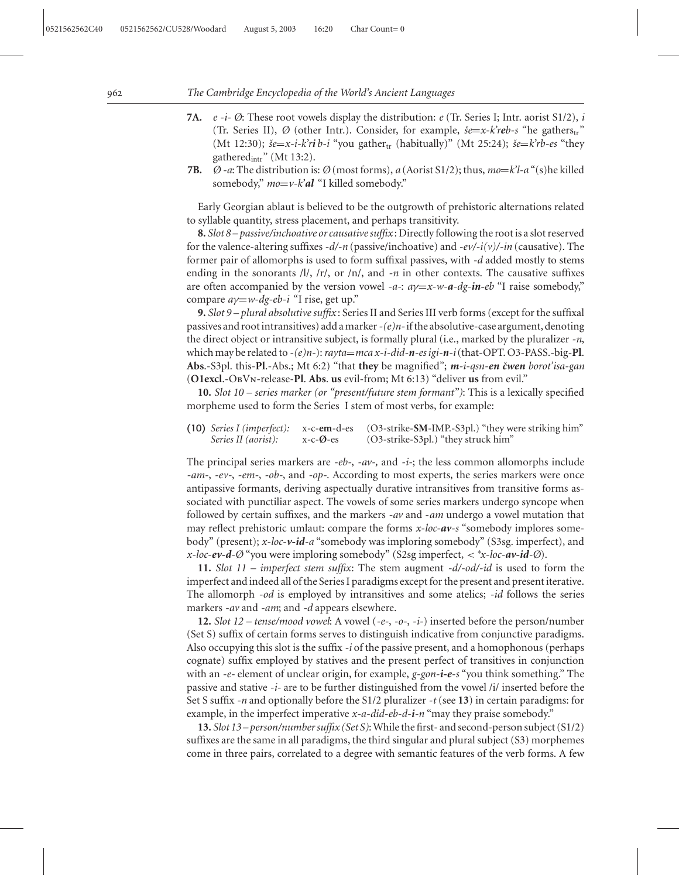- **7A.** *e -i- Ø*: These root vowels display the distribution: *e* (Tr. Series I; Intr. aorist S1/2), *i* (Tr. Series II),  $\emptyset$  (other Intr.). Consider, for example,  $\breve{\varepsilon} = x - \breve{\varepsilon}$ *reb*-s "he gathers<sub>tr</sub>" (Mt 12:30); *še=x-i-k'ri b-i* "you gather<sub>tr</sub> (habitually)" (Mt 25:24); *še=k'rb-es* "they gathered $_{\text{intr}}$ " (Mt 13:2).
- **7B.**  $\varnothing$  *-a*: The distribution is:  $\varnothing$  (most forms), *a* (Aorist S1/2); thus,  $mo=k'l-a$  "(s)he killed somebody," *mo*=*v-k'al* "I killed somebody."

Early Georgian ablaut is believed to be the outgrowth of prehistoric alternations related to syllable quantity, stress placement, and perhaps transitivity.

**8.** *Slot 8 – passive/inchoative or causative suffix* : Directly following the root is a slot reserved for the valence-altering suffixes *-d/-n* (passive/inchoative) and *-ev/-i(v)/-in* (causative). The former pair of allomorphs is used to form suffixal passives, with *-d* added mostly to stems ending in the sonorants /l/, /r/, or /n/, and *-n* in other contexts. The causative suffixes are often accompanied by the version vowel *-a-*:  $a\gamma = x$ *-w-a-dg-in-eb* "I raise somebody," compare *a*γ=*w-dg-eb-i* "I rise, get up."

**9.** *Slot 9 – plural absolutive suffix* : Series II and Series III verb forms (except for the suffixal passives and root intransitives) add a marker*-(e)n-*if the absolutive-case argument, denoting the direct object or intransitive subject, is formally plural (i.e., marked by the pluralizer *-n*, which may be related to *-(e)n-*):*rayta*=*mca x-i-did-n-es igi-n-i*(that-OPT. O3-PASS.-big-**Pl**. **Abs**.-S3pl. this-**Pl**.-Abs.; Mt 6:2) "that **they** be magnified"; *m-i-qsn-en ˇcwen borot'isa-gan* (**O1excl**.-ObVn-release-**Pl**. **Abs**. **us** evil-from; Mt 6:13) "deliver **us** from evil."

**10.** *Slot 10 – series marker (or "present/future stem formant")*: This is a lexically specified morpheme used to form the Series I stem of most verbs, for example:

|                     |                       | (10) Series I (imperfect): x-c-em-d-es (O3-strike-SM-IMP.-S3pl.) "they were striking him" |
|---------------------|-----------------------|-------------------------------------------------------------------------------------------|
| Series II (aorist): | $x-c-\mathcal{O}$ -es | (O3-strike-S3pl.) "they struck him"                                                       |

The principal series markers are *-eb-*, *-av-,* and *-i-*; the less common allomorphs include *-am-*, *-ev-*, *-em-*, *-ob-*, and *-op-*. According to most experts, the series markers were once antipassive formants, deriving aspectually durative intransitives from transitive forms associated with punctiliar aspect. The vowels of some series markers undergo syncope when followed by certain suffixes, and the markers *-av* and -*am* undergo a vowel mutation that may reflect prehistoric umlaut: compare the forms *x-loc-av-s* "somebody implores somebody" (present); *x-loc-v-id-a* "somebody was imploring somebody" (S3sg. imperfect), and *x-loc-ev-d-Ø* "you were imploring somebody" (S2sg imperfect, < <sup>∗</sup> *x-loc-av-id-Ø*).

**11.** *Slot 11 – imperfect stem suffix*: The stem augment *-d/-od/-id* is used to form the imperfect and indeed all of the Series I paradigms except for the present and present iterative. The allomorph *-od* is employed by intransitives and some atelics; *-id* follows the series markers *-av* and *-am*; and *-d* appears elsewhere.

**12.** *Slot 12 – tense/mood vowel*: A vowel (*-e-*, *-o-*, *-i-*) inserted before the person/number (Set S) suffix of certain forms serves to distinguish indicative from conjunctive paradigms. Also occupying this slot is the suffix *-i* of the passive present, and a homophonous (perhaps cognate) suffix employed by statives and the present perfect of transitives in conjunction with an *-e-* element of unclear origin, for example, *g-gon-i-e-s* "you think something." The passive and stative *-i-* are to be further distinguished from the vowel /i/ inserted before the Set S suffix *-n* and optionally before the S1/2 pluralizer *-t* (see **13**) in certain paradigms: for example, in the imperfect imperative *x-a-did-eb-d-i-n* "may they praise somebody."

**13.** *Slot 13 – person/number suffix (Set S)*: While the first- and second-person subject (S1/2) suffixes are the same in all paradigms, the third singular and plural subject (S3) morphemes come in three pairs, correlated to a degree with semantic features of the verb forms. A few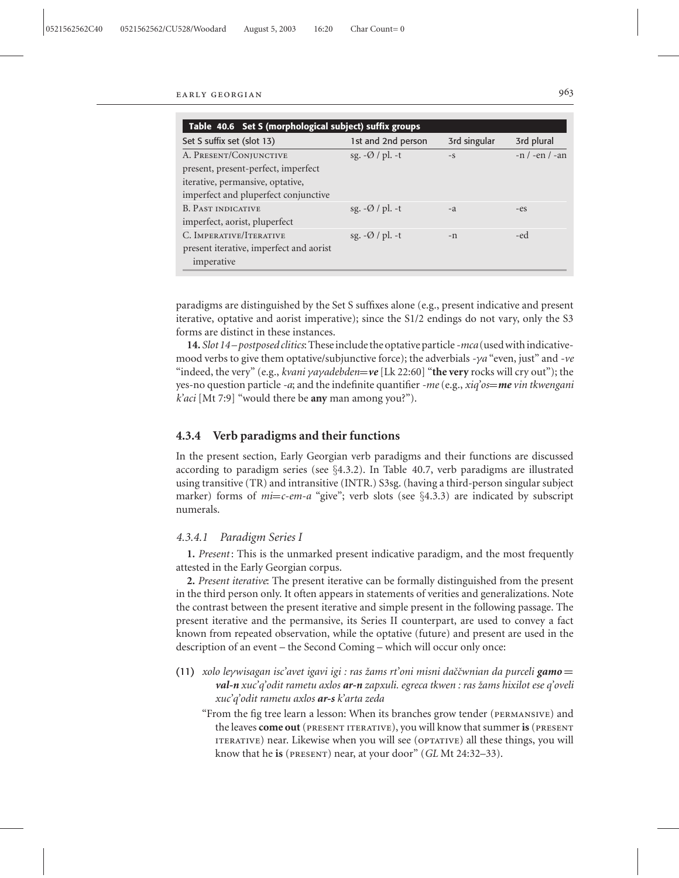| Table 40.6 Set S (morphological subject) suffix groups |                           |              |                   |
|--------------------------------------------------------|---------------------------|--------------|-------------------|
| Set S suffix set (slot 13)                             | 1st and 2nd person        | 3rd singular | 3rd plural        |
| A. PRESENT/CONJUNCTIVE                                 | sg. $-\emptyset$ / pl. -t | $-S$         | $-n/$ -en $/$ -an |
| present, present-perfect, imperfect                    |                           |              |                   |
| iterative, permansive, optative,                       |                           |              |                   |
| imperfect and pluperfect conjunctive                   |                           |              |                   |
| <b>B. PAST INDICATIVE</b>                              | sg. $-\emptyset$ / pl. -t | $-a$         | $-es$             |
| imperfect, aorist, pluperfect                          |                           |              |                   |
| C. IMPERATIVE/ITERATIVE                                | sg. $-\emptyset$ / pl. -t | $-n$         | -ed               |
| present iterative, imperfect and aorist                |                           |              |                   |
| imperative                                             |                           |              |                   |

paradigms are distinguished by the Set S suffixes alone (e.g., present indicative and present iterative, optative and aorist imperative); since the S1/2 endings do not vary, only the S3 forms are distinct in these instances.

**14.** *Slot 14–postposed clitics*: These include the optative particle *-mca* (used with indicativemood verbs to give them optative/subjunctive force); the adverbials *-*γ*a* "even, just" and *-ve* "indeed, the very" (e.g., *kvani* γ*a*γ*adebden*=*ve* [Lk 22:60] "**the very** rocks will cry out"); the yes-no question particle *-a*; and the indefinite quantifier *-me* (e.g., *xiq'os*=*me vin tkwengani k'aci* [Mt 7:9] "would there be **any** man among you?").

### **4.3.4 Verb paradigms and their functions**

In the present section, Early Georgian verb paradigms and their functions are discussed according to paradigm series (see §4.3.2). In Table 40.7, verb paradigms are illustrated using transitive (TR) and intransitive (INTR.) S3sg. (having a third-person singular subject marker) forms of *mi*=*c-em-a* "give"; verb slots (see §4.3.3) are indicated by subscript numerals.

#### *4.3.4.1 Paradigm Series I*

**1.** *Present* : This is the unmarked present indicative paradigm, and the most frequently attested in the Early Georgian corpus.

**2.** *Present iterative*: The present iterative can be formally distinguished from the present in the third person only. It often appears in statements of verities and generalizations. Note the contrast between the present iterative and simple present in the following passage. The present iterative and the permansive, its Series II counterpart, are used to convey a fact known from repeated observation, while the optative (future) and present are used in the description of an event – the Second Coming – which will occur only once:

- (11) *xolo le*γ*wisagan isc'avet igavi igi : ras ˇzams rt'oni misni daˇcˇcwnian da purceli gamo* **=** *val-n xuc'q'odit rametu axlos ar-n zapxuli. egreca tkwen : ras ˇzams hixilot ese q'oveli xuc'q'odit rametu axlos ar-s k'arta zeda*
	- "From the fig tree learn a lesson: When its branches grow tender (permansive) and the leaves **come out** (PRESENT ITERATIVE), you will know that summer **is** (PRESENT iterative) near. Likewise when you will see (optative) all these things, you will know that he **is** (present) near, at your door" (*GL* Mt 24:32–33).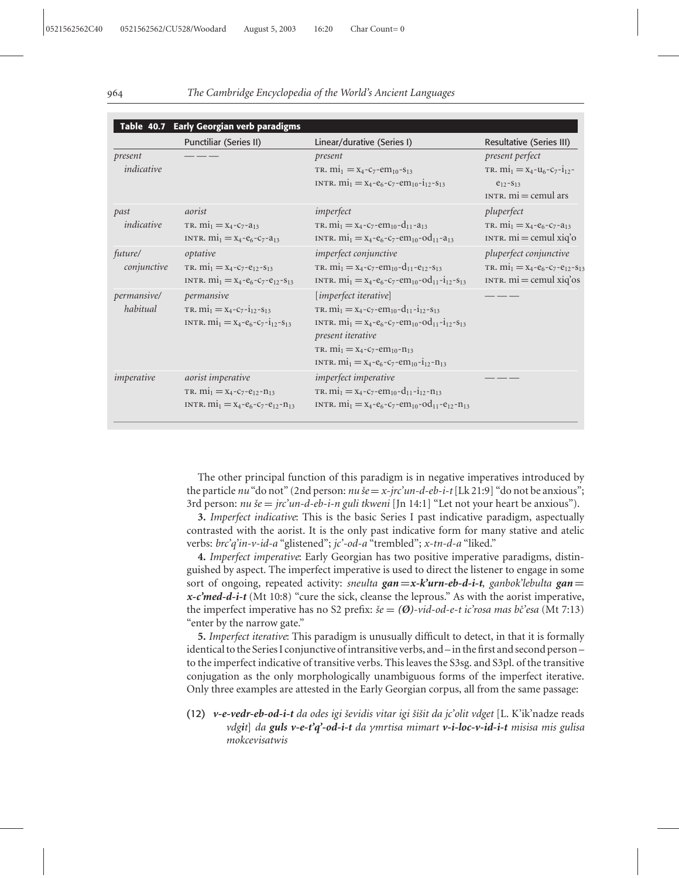|              | ۰,          |  |
|--------------|-------------|--|
| ł            | I<br>×<br>v |  |
| ۰.<br>٧<br>٠ |             |  |

|                         | Table 40.7 Early Georgian verb paradigms                                                                    |                                                                                                                                                                                                                                                                                                                  |                                                                                                       |
|-------------------------|-------------------------------------------------------------------------------------------------------------|------------------------------------------------------------------------------------------------------------------------------------------------------------------------------------------------------------------------------------------------------------------------------------------------------------------|-------------------------------------------------------------------------------------------------------|
|                         | <b>Punctiliar (Series II)</b>                                                                               | Linear/durative (Series I)                                                                                                                                                                                                                                                                                       | Resultative (Series III)                                                                              |
| present<br>indicative   |                                                                                                             | present<br>TR. $mi_1 = x_4-c_7$ -em <sub>10</sub> -s <sub>13</sub><br>INTR. $mi_1 = x_4 - e_6 - c_7 - em_{10} - i_{12} - s_{13}$                                                                                                                                                                                 | present perfect<br>TR. $mi_1 = x_4-u_6-c_7-i_{12}$<br>$e_{12} - S_{13}$<br>INTR. $mi =$ cemul ars     |
| past<br>indicative      | aorist<br>TR. $mi_1 = x_4-c_7-a_{13}$<br>INTR. $mi_1 = x_4-e_6-c_7-a_{13}$                                  | imperfect<br>TR. $mi_1 = x_4 - c_7 - em_{10} - d_{11} - a_{13}$<br>INTR. $mi_1 = x_4 - e_6 - c_7 - em_{10} - od_{11} - a_{13}$                                                                                                                                                                                   | pluperfect<br>TR. $mi_1 = x_4 - e_6 - c_7 - a_{13}$<br>INTR. $mi =$ cemul xiq'o                       |
| future/<br>conjunctive  | optative<br>TR. $mi_1 = x_4-c_7-e_{12}-s_{13}$<br>INTR. $mi_1 = x_4 - e_6 - c_7 - e_{12} - s_{13}$          | imperfect conjunctive<br>TR. $mi_1 = x_4 - c_7 - em_{10} - d_{11} - e_{12} - s_{13}$<br>INTR. $mi_1 = x_4 - e_6 - c_7 - em_{10} - od_{11} - i_{12} - s_{13}$                                                                                                                                                     | pluperfect conjunctive<br>TR. $mi_1 = x_4 - e_6 - c_7 - e_{12} - s_{13}$<br>INTR. $mi =$ cemul xiq'os |
| permansive/<br>habitual | permansive<br>TR. $mi_1 = x_4 - c_7 - i_{12} - s_{13}$<br>INTR. $mi_1 = x_4 - e_6 - c_7 - i_{12} - s_{13}$  | [imperfect iterative]<br>TR. $mi_1 = x_4-c_7$ - $em_{10}$ - $d_{11}$ - $i_{12}$ - $s_{13}$<br>INTR. $mi_1 = x_4 - e_6 - c_7 - em_{10} - od_{11} - i_{12} - s_{13}$<br>present iterative<br>TR. $mi_1 = x_4-c_7$ -em <sub>10</sub> -n <sub>13</sub><br>INTR. $mi_1 = x_4 - e_6 - c_7 - em_{10} - i_{12} - n_{13}$ |                                                                                                       |
| imperative              | aorist imperative<br>TR. $mi_1 = x_4-c_7-e_{12}-n_{13}$<br>INTR. $mi_1 = x_4 - e_6 - c_7 - e_{12} - n_{13}$ | imperfect imperative<br>TR. $mi_1 = x_4-c_7$ -em <sub>10</sub> -d <sub>11</sub> -i <sub>12</sub> -n <sub>13</sub><br>INTR. $mi_1 = x_4 - e_6 - c_7 - em_{10} - od_{11} - e_{12} - n_{13}$                                                                                                                        |                                                                                                       |

The other principal function of this paradigm is in negative imperatives introduced by the particle *nu* "do not" (2nd person: *nu*  $\check{\delta}e = x$ -*jrc'un-d-eb-i-t* [Lk 21:9] "do not be anxious"; 3rd person: *nu ˇse* = *jrc'un-d-eb-i-n guli tkweni* [Jn 14:1] "Let not your heart be anxious").

**3.** *Imperfect indicative*: This is the basic Series I past indicative paradigm, aspectually contrasted with the aorist. It is the only past indicative form for many stative and atelic verbs: *brc'q'in-v-id-a* "glistened"; *jc'-od-a* "trembled"; *x-tn-d-a* "liked."

**4.** *Imperfect imperative*: Early Georgian has two positive imperative paradigms, distinguished by aspect. The imperfect imperative is used to direct the listener to engage in some sort of ongoing, repeated activity: *sneulta gan* **=***x-k'urn-eb-d-i-t*, *ganbok'lebulta gan* **=** *x-c'med-d-i-t* (Mt 10:8) "cure the sick, cleanse the leprous." As with the aorist imperative, the imperfect imperative has no S2 prefix: *ˇse* = *(Ø)-vid-od-e-t ic'rosa mas bˇc'esa* (Mt 7:13) "enter by the narrow gate."

**5.** *Imperfect iterative*: This paradigm is unusually difficult to detect, in that it is formally identical to the Series I conjunctive of intransitive verbs, and – in the first and second person – to the imperfect indicative of transitive verbs. This leaves the S3sg. and S3pl. of the transitive conjugation as the only morphologically unambiguous forms of the imperfect iterative. Only three examples are attested in the Early Georgian corpus, all from the same passage:

(12) *v-e-vedr-eb-od-i-t da odes igi ˇsevidis vitar igi ˇsiˇsit da jc'olit vdget* [L. K'ik'nadze reads *vdgit*] *da guls v-e-t'q'-od-i-t da* γ*mrtisa mimart v-i-loc-v-id-i-t misisa mis gulisa mokcevisatwis*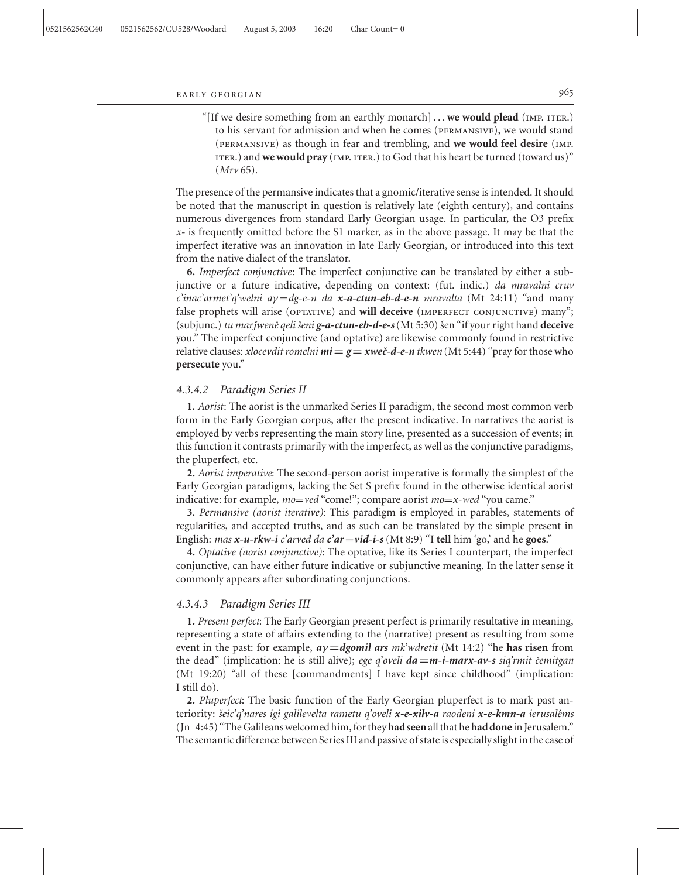"[If we desire something from an earthly monarch] . . .**we would plead** (imp. iter.) to his servant for admission and when he comes (permansive), we would stand (permansive) as though in fear and trembling, and **we would feel desire** (imp. iter.) and **we would pray** (imp. iter.) to God that his heart be turned (toward us)" (*Mrv* 65).

The presence of the permansive indicates that a gnomic/iterative sense is intended. It should be noted that the manuscript in question is relatively late (eighth century), and contains numerous divergences from standard Early Georgian usage. In particular, the O3 prefix *x-* is frequently omitted before the S1 marker, as in the above passage. It may be that the imperfect iterative was an innovation in late Early Georgian, or introduced into this text from the native dialect of the translator.

**6.** *Imperfect conjunctive*: The imperfect conjunctive can be translated by either a subjunctive or a future indicative, depending on context: (fut. indic.) *da mravalni cruv c'inac'armet'q'welni a*γ =*dg-e-n da x-a-ctun-eb-d-e-n mravalta* (Mt 24:11) "and many false prophets will arise (OPTATIVE) and **will deceive** (IMPERFECT CONJUNCTIVE) many"; (subjunc.) tu marjwenê qeli šeni **g-a-ctun-eb-d-e-s** (Mt 5:30) šen "if your right hand **deceive** you." The imperfect conjunctive (and optative) are likewise commonly found in restrictive relative clauses: *xlocevdit romelni mi* **=** *g* **=** *xweˇc-d-e-n tkwen* (Mt 5:44) "pray for those who **persecute** you."

#### *4.3.4.2 Paradigm Series II*

**1.** *Aorist*: The aorist is the unmarked Series II paradigm, the second most common verb form in the Early Georgian corpus, after the present indicative. In narratives the aorist is employed by verbs representing the main story line, presented as a succession of events; in this function it contrasts primarily with the imperfect, as well as the conjunctive paradigms, the pluperfect, etc.

**2.** *Aorist imperative*: The second-person aorist imperative is formally the simplest of the Early Georgian paradigms, lacking the Set S prefix found in the otherwise identical aorist indicative: for example, *mo*=*ved* "come!"; compare aorist *mo*=*x-wed* "you came."

**3.** *Permansive (aorist iterative)*: This paradigm is employed in parables, statements of regularities, and accepted truths, and as such can be translated by the simple present in English: *mas x-u-rkw-i c'arved da c'ar* =*vid-i-s* (Mt 8:9) "I **tell** him 'go,' and he **goes**."

**4.** *Optative (aorist conjunctive)*: The optative, like its Series I counterpart, the imperfect conjunctive, can have either future indicative or subjunctive meaning. In the latter sense it commonly appears after subordinating conjunctions.

#### *4.3.4.3 Paradigm Series III*

**1.** *Present perfect*: The Early Georgian present perfect is primarily resultative in meaning, representing a state of affairs extending to the (narrative) present as resulting from some event in the past: for example,  $a\gamma =$ *dgomil ars*  $mk\text{'\text{w}}$ *dretit* (Mt 14:2) "he **has risen** from the dead" (implication: he is still alive); *ege q'oveli da* **=***m-i-marx-av-s siq'rmit ˇcemitgan* (Mt 19:20) "all of these [commandments] I have kept since childhood" (implication: I still do).

**2.** *Pluperfect*: The basic function of the Early Georgian pluperfect is to mark past anteriority: *ˇseic'q'nares igi galilevelta rametu q'oveli x-e-xilv-a raodeni x-e-kmn-a ierusalˆems* (Jn 4:45) "The Galileans welcomed him, for they**had seen**all that he**had done** in Jerusalem." The semantic difference between Series III and passive of state is especially slight in the case of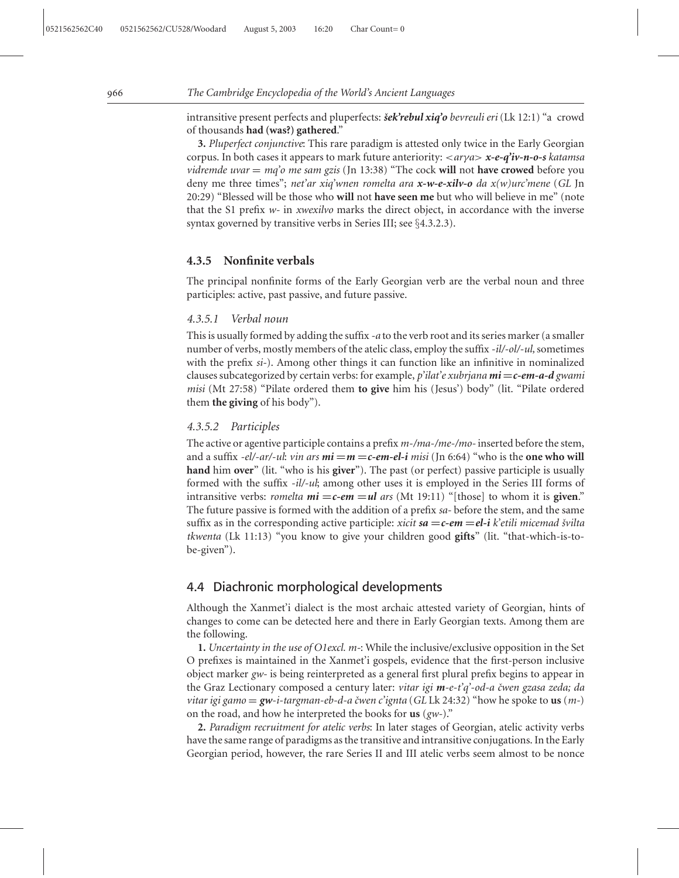intransitive present perfects and pluperfects: *ˇsek'rebul xiq'o bevreuli eri* (Lk 12:1) "a crowd of thousands **had (was?) gathered**."

**3.** *Pluperfect conjunctive*: This rare paradigm is attested only twice in the Early Georgian corpus. In both cases it appears to mark future anteriority: <*ar*γ*a*> *x-e-q'iv-n-o-s katamsa vidremde uvar* = *mq'o me sam gzis* (Jn 13:38) "The cock **will** not **have crowed** before you deny me three times"; *net'ar xiq'wnen romelta ara x-w-e-xilv-o da x(w)urc'mene* (*GL* Jn 20:29) "Blessed will be those who **will** not **have seen me** but who will believe in me" (note that the S1 prefix *w-* in *xwexilvo* marks the direct object, in accordance with the inverse syntax governed by transitive verbs in Series III; see §4.3.2.3).

# **4.3.5 Nonfinite verbals**

The principal nonfinite forms of the Early Georgian verb are the verbal noun and three participles: active, past passive, and future passive.

#### *4.3.5.1 Verbal noun*

This is usually formed by adding the suffix *-a* to the verb root and its series marker (a smaller number of verbs, mostly members of the atelic class, employ the suffix *-il/-ol/-ul,* sometimes with the prefix *si-*). Among other things it can function like an infinitive in nominalized clauses subcategorized by certain verbs: for example, *p'ilat'e xubrjana mi* **=***c-em-a-d gwami misi* (Mt 27:58) "Pilate ordered them **to give** him his (Jesus') body" (lit. "Pilate ordered them **the giving** of his body").

#### *4.3.5.2 Participles*

The active or agentive participle contains a prefix *m-/ma-/me-/mo-*inserted before the stem, and a suffix *-el/-ar/-ul*: *vin ars mi* **=***m* **=***c-em-el-i misi* (Jn 6:64) "who is the **one who will hand** him **over**" (lit. "who is his **giver**"). The past (or perfect) passive participle is usually formed with the suffix *-il/-ul*; among other uses it is employed in the Series III forms of intransitive verbs: *romelta*  $mi = c$ -*em*  $= ul$  *ars* (Mt 19:11) "[those] to whom it is given." The future passive is formed with the addition of a prefix *sa-* before the stem, and the same suffix as in the corresponding active participle: *xicit*  $sa = c$ - $em = el$ -i  $k$ 'etili micemad švilta *tkwenta* (Lk 11:13) "you know to give your children good **gifts**" (lit. "that-which-is-tobe-given").

# 4.4 Diachronic morphological developments

Although the Xanmet'i dialect is the most archaic attested variety of Georgian, hints of changes to come can be detected here and there in Early Georgian texts. Among them are the following.

**1.** *Uncertainty in the use of O1excl. m-*: While the inclusive/exclusive opposition in the Set O prefixes is maintained in the Xanmet'i gospels, evidence that the first-person inclusive object marker *gw-* is being reinterpreted as a general first plural prefix begins to appear in the Graz Lectionary composed a century later: *vitar igi m-e-t'q'-od-a ˇcwen gzasa zeda; da vitar igi gamo* = *gw-i-targman-eb-d-a ˇcwen c'ignta* (*GL* Lk 24:32) "how he spoke to **us** (*m-*) on the road, and how he interpreted the books for **us** (*gw-*)."

**2.** *Paradigm recruitment for atelic verbs*: In later stages of Georgian, atelic activity verbs have the same range of paradigms as the transitive and intransitive conjugations. In the Early Georgian period, however, the rare Series II and III atelic verbs seem almost to be nonce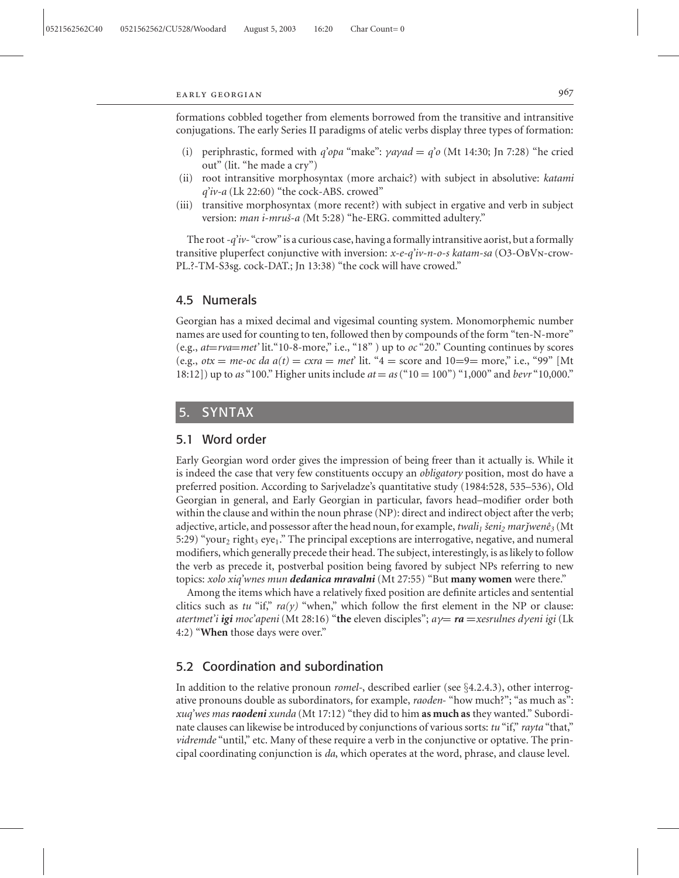| EARLY GEORGIAN | 967 |  |
|----------------|-----|--|
|----------------|-----|--|

formations cobbled together from elements borrowed from the transitive and intransitive conjugations. The early Series II paradigms of atelic verbs display three types of formation:

- (i) periphrastic, formed with *q'opa* "make": γ*a*γ*ad* = *q'o* (Mt 14:30; Jn 7:28) "he cried out" (lit. "he made a cry")
- (ii) root intransitive morphosyntax (more archaic?) with subject in absolutive: *katami q'iv-a* (Lk 22:60) "the cock-ABS. crowed"
- (iii) transitive morphosyntax (more recent?) with subject in ergative and verb in subject version: *man i-mruš-a* (Mt 5:28) "he-ERG. committed adultery."

The root*-q'iv-* "crow" is a curious case, having a formally intransitive aorist, but a formally transitive pluperfect conjunctive with inversion: *x-e-q'iv-n-o-s katam-sa* (O3-ObVn-crow-PL.?-TM-S3sg. cock-DAT.; Jn 13:38) "the cock will have crowed."

# 4.5 Numerals

Georgian has a mixed decimal and vigesimal counting system. Monomorphemic number names are used for counting to ten, followed then by compounds of the form "ten-N-more" (e.g., *at*=*rva*=*met'* lit."10-8-more," i.e., "18" ) up to *oc* "20." Counting continues by scores  $(e.g., *otx* = me-oc da a(t) = c*xra* = met' lit. "4 = score and 10=9= more," i.e., "99" [Mt]$ 18:12]) up to *as* "100." Higher units include *at* = *as* ("10 = 100") "1,000" and *bevr* "10,000."

# **SYNTAX**

### 5.1 Word order

Early Georgian word order gives the impression of being freer than it actually is. While it is indeed the case that very few constituents occupy an *obligatory* position, most do have a preferred position. According to Sarjveladze's quantitative study (1984:528, 535–536), Old Georgian in general, and Early Georgian in particular, favors head–modifier order both within the clause and within the noun phrase (NP): direct and indirect object after the verb; adjective, article, and possessor after the head noun, for example, *twali<sub>1</sub> šeni<sub>2</sub> marjwenê3* (Mt 5:29) "your<sub>2</sub> right<sub>3</sub> eye<sub>1</sub>." The principal exceptions are interrogative, negative, and numeral modifiers, which generally precede their head. The subject, interestingly, is as likely to follow the verb as precede it, postverbal position being favored by subject NPs referring to new topics: *xolo xiq'wnes mun dedanica mravalni* (Mt 27:55) "But **many women** were there."

Among the items which have a relatively fixed position are definite articles and sentential clitics such as *tu* "if," *ra(y)* "when," which follow the first element in the NP or clause: *atertmet'i igi moc'apeni* (Mt 28:16) "**the** eleven disciples"; *a*γ= *ra* **=***xesrulnes d*γ*eni igi* (Lk 4:2) "**When** those days were over."

# 5.2 Coordination and subordination

In addition to the relative pronoun *romel-*, described earlier (see §4.2.4.3), other interrogative pronouns double as subordinators, for example, *raoden*- "how much?"; "as much as": *xuq'wes mas raodeni xunda* (Mt 17:12) "they did to him **as much as** they wanted." Subordinate clauses can likewise be introduced by conjunctions of various sorts: *tu* "if," *rayta* "that," *vidremde* "until," etc. Many of these require a verb in the conjunctive or optative. The principal coordinating conjunction is *da*, which operates at the word, phrase, and clause level.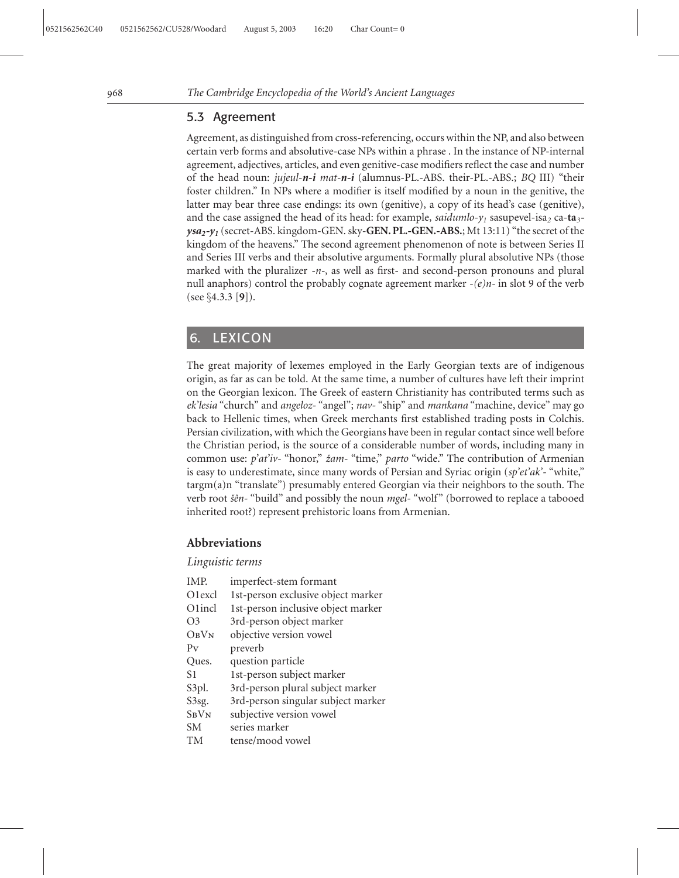#### 5.3 Agreement

Agreement, as distinguished from cross-referencing, occurs within the NP, and also between certain verb forms and absolutive-case NPs within a phrase . In the instance of NP-internal agreement, adjectives, articles, and even genitive-case modifiers reflect the case and number of the head noun: *jujeul-n-i mat-n-i* (alumnus-PL.-ABS. their-PL.-ABS.; *BQ* III) "their foster children." In NPs where a modifier is itself modified by a noun in the genitive, the latter may bear three case endings: its own (genitive), a copy of its head's case (genitive), and the case assigned the head of its head: for example, *saidumlo-y<sub>1</sub>* sasupevel-isa<sub>2</sub> ca-ta<sub>3</sub>*ysa2-y1* (secret-ABS. kingdom-GEN. sky-**GEN. PL.-GEN.-ABS.**; Mt 13:11) "the secret of the kingdom of the heavens." The second agreement phenomenon of note is between Series II and Series III verbs and their absolutive arguments. Formally plural absolutive NPs (those marked with the pluralizer *-n-*, as well as first- and second-person pronouns and plural null anaphors) control the probably cognate agreement marker *-(e)n-* in slot 9 of the verb (see §4.3.3 [**9**]).

# 6. LEXICON

The great majority of lexemes employed in the Early Georgian texts are of indigenous origin, as far as can be told. At the same time, a number of cultures have left their imprint on the Georgian lexicon. The Greek of eastern Christianity has contributed terms such as *ek'lesia* "church" and *angeloz-* "angel"; *nav-* "ship" and *mankana* "machine, device" may go back to Hellenic times, when Greek merchants first established trading posts in Colchis. Persian civilization, with which the Georgians have been in regular contact since well before the Christian period, is the source of a considerable number of words, including many in common use: *p'at'iv-* "honor," *ˇzam-* "time," *parto* "wide." The contribution of Armenian is easy to underestimate, since many words of Persian and Syriac origin (*sp'et'ak'-* "white," targm(a)n "translate") presumably entered Georgian via their neighbors to the south. The verb root *šên*- "build" and possibly the noun *mgel*- "wolf" (borrowed to replace a tabooed inherited root?) represent prehistoric loans from Armenian.

#### **Abbreviations**

#### *Linguistic terms*

| IMP.                          | imperfect-stem formant             |
|-------------------------------|------------------------------------|
| O <sub>lexcl</sub>            | 1st-person exclusive object marker |
| Olincl                        | 1st-person inclusive object marker |
| O <sub>3</sub>                | 3rd-person object marker           |
| O <sub>B</sub> V <sub>N</sub> | objective version vowel            |
| $P_V$                         | preverb                            |
| Oues.                         | question particle                  |
| S1                            | 1st-person subject marker          |
| S3pl.                         | 3rd-person plural subject marker   |
| S3sg.                         | 3rd-person singular subject marker |
| <b>SBV<sub>N</sub></b>        | subjective version vowel           |
| <b>SM</b>                     | series marker                      |
| <b>TM</b>                     | tense/mood vowel                   |